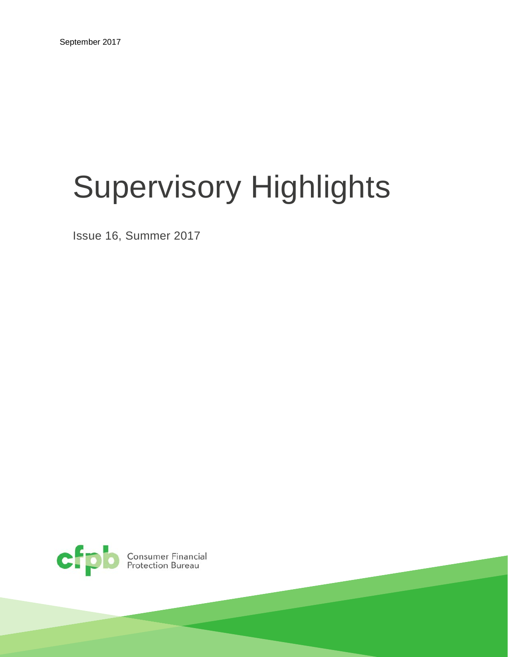# Supervisory Highlights

Issue 16, Summer 2017

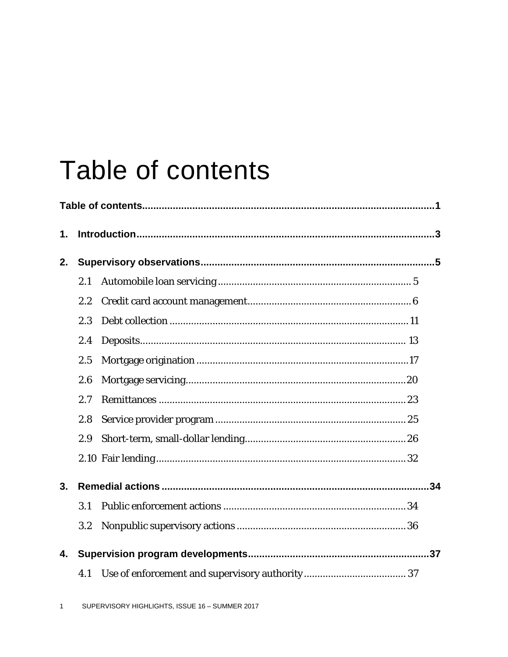# Table of contents

| 1. |     |  |  |  |  |  |  |
|----|-----|--|--|--|--|--|--|
| 2. |     |  |  |  |  |  |  |
|    | 2.1 |  |  |  |  |  |  |
|    | 2.2 |  |  |  |  |  |  |
|    | 2.3 |  |  |  |  |  |  |
|    | 2.4 |  |  |  |  |  |  |
|    | 2.5 |  |  |  |  |  |  |
|    | 2.6 |  |  |  |  |  |  |
|    | 2.7 |  |  |  |  |  |  |
|    | 2.8 |  |  |  |  |  |  |
|    | 2.9 |  |  |  |  |  |  |
|    |     |  |  |  |  |  |  |
| 3. |     |  |  |  |  |  |  |
|    | 3.1 |  |  |  |  |  |  |
|    | 3.2 |  |  |  |  |  |  |
| 4. |     |  |  |  |  |  |  |
|    | 4.1 |  |  |  |  |  |  |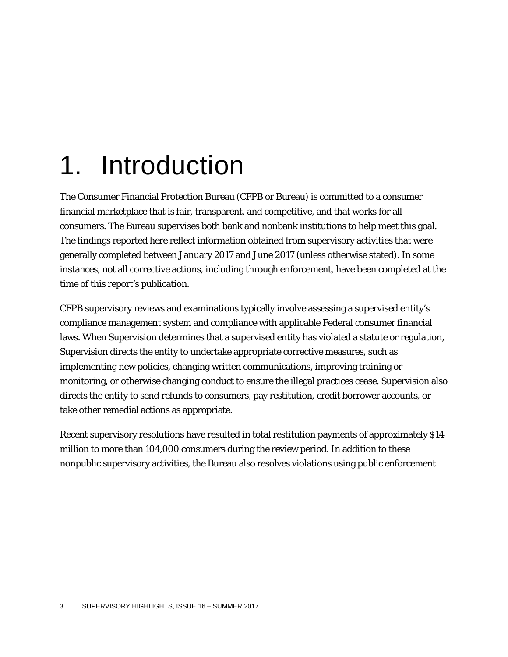# 1. Introduction

The Consumer Financial Protection Bureau (CFPB or Bureau) is committed to a consumer financial marketplace that is fair, transparent, and competitive, and that works for all consumers. The Bureau supervises both bank and nonbank institutions to help meet this goal. The findings reported here reflect information obtained from supervisory activities that were generally completed between January 2017 and June 2017 (unless otherwise stated). In some instances, not all corrective actions, including through enforcement, have been completed at the time of this report's publication.

CFPB supervisory reviews and examinations typically involve assessing a supervised entity's compliance management system and compliance with applicable Federal consumer financial laws. When Supervision determines that a supervised entity has violated a statute or regulation, Supervision directs the entity to undertake appropriate corrective measures, such as implementing new policies, changing written communications, improving training or monitoring, or otherwise changing conduct to ensure the illegal practices cease. Supervision also directs the entity to send refunds to consumers, pay restitution, credit borrower accounts, or take other remedial actions as appropriate.

Recent supervisory resolutions have resulted in total restitution payments of approximately \$14 million to more than 104,000 consumers during the review period. In addition to these nonpublic supervisory activities, the Bureau also resolves violations using public enforcement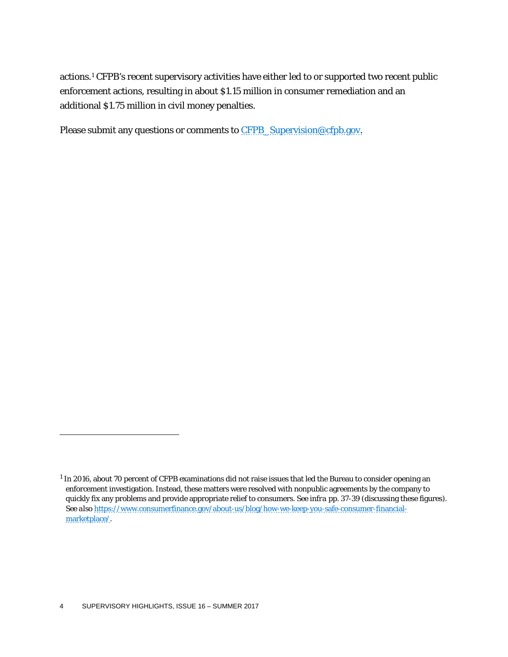actions.[1](#page-4-0) CFPB's recent supervisory activities have either led to or supported two recent public enforcement actions, resulting in about \$1.15 million in consumer remediation and an additional \$1.75 million in civil money penalties.

Please submit any questions or comments to [CFPB\\_Supervision@cfpb.gov.](mailto:CFPB_Supervision@cfpb.gov)

<span id="page-4-0"></span><sup>&</sup>lt;sup>1</sup> In 2016, about 70 percent of CFPB examinations did not raise issues that led the Bureau to consider opening an enforcement investigation. Instead, these matters were resolved with nonpublic agreements by the company to quickly fix any problems and provide appropriate relief to consumers. *See infra* pp. 37-39 (discussing these figures). *See also* [https://www.consumerfinance.gov/about-us/blog/how-we-keep-you-safe-consumer-financial](https://www.consumerfinance.gov/about-us/blog/how-we-keep-you-safe-consumer-financial-marketplace/)[marketplace/.](https://www.consumerfinance.gov/about-us/blog/how-we-keep-you-safe-consumer-financial-marketplace/)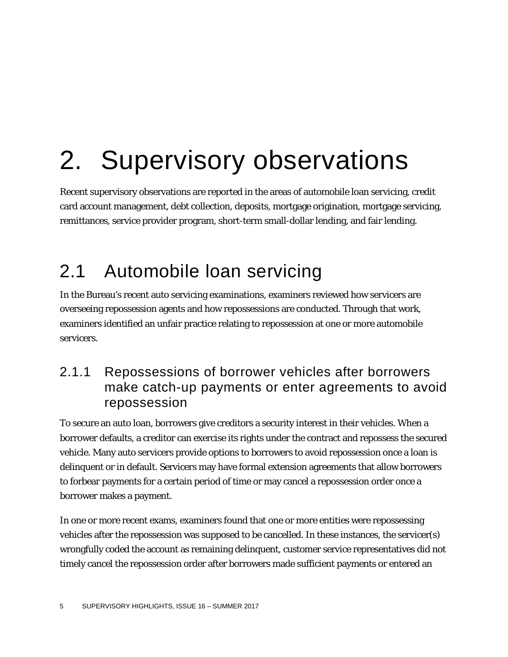# 2. Supervisory observations

Recent supervisory observations are reported in the areas of automobile loan servicing, credit card account management, debt collection, deposits, mortgage origination, mortgage servicing, remittances, service provider program, short-term small-dollar lending, and fair lending.

# 2.1 Automobile loan servicing

In the Bureau's recent auto servicing examinations, examiners reviewed how servicers are overseeing repossession agents and how repossessions are conducted. Through that work, examiners identified an unfair practice relating to repossession at one or more automobile servicers.

### 2.1.1 Repossessions of borrower vehicles after borrowers make catch-up payments or enter agreements to avoid repossession

To secure an auto loan, borrowers give creditors a security interest in their vehicles. When a borrower defaults, a creditor can exercise its rights under the contract and repossess the secured vehicle. Many auto servicers provide options to borrowers to avoid repossession once a loan is delinquent or in default. Servicers may have formal extension agreements that allow borrowers to forbear payments for a certain period of time or may cancel a repossession order once a borrower makes a payment.

In one or more recent exams, examiners found that one or more entities were repossessing vehicles after the repossession was supposed to be cancelled. In these instances, the servicer(s) wrongfully coded the account as remaining delinquent, customer service representatives did not timely cancel the repossession order after borrowers made sufficient payments or entered an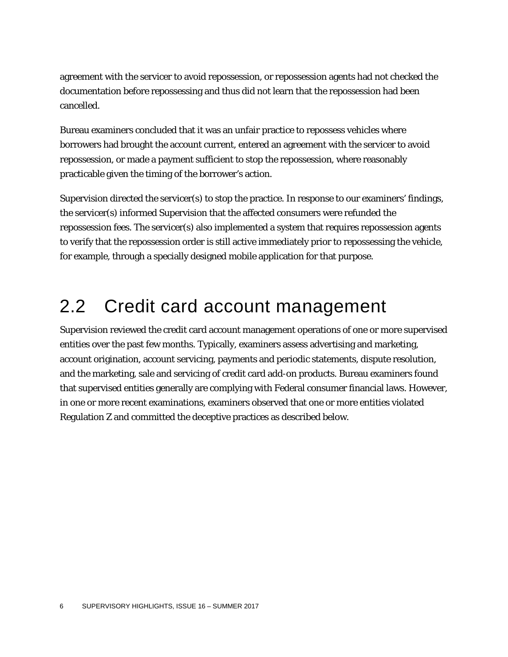agreement with the servicer to avoid repossession, or repossession agents had not checked the documentation before repossessing and thus did not learn that the repossession had been cancelled.

Bureau examiners concluded that it was an unfair practice to repossess vehicles where borrowers had brought the account current, entered an agreement with the servicer to avoid repossession, or made a payment sufficient to stop the repossession, where reasonably practicable given the timing of the borrower's action.

Supervision directed the servicer(s) to stop the practice. In response to our examiners' findings, the servicer(s) informed Supervision that the affected consumers were refunded the repossession fees. The servicer(s) also implemented a system that requires repossession agents to verify that the repossession order is still active immediately prior to repossessing the vehicle, for example, through a specially designed mobile application for that purpose.

# 2.2 Credit card account management

Supervision reviewed the credit card account management operations of one or more supervised entities over the past few months. Typically, examiners assess advertising and marketing, account origination, account servicing, payments and periodic statements, dispute resolution, and the marketing, sale and servicing of credit card add-on products. Bureau examiners found that supervised entities generally are complying with Federal consumer financial laws. However, in one or more recent examinations, examiners observed that one or more entities violated Regulation Z and committed the deceptive practices as described below.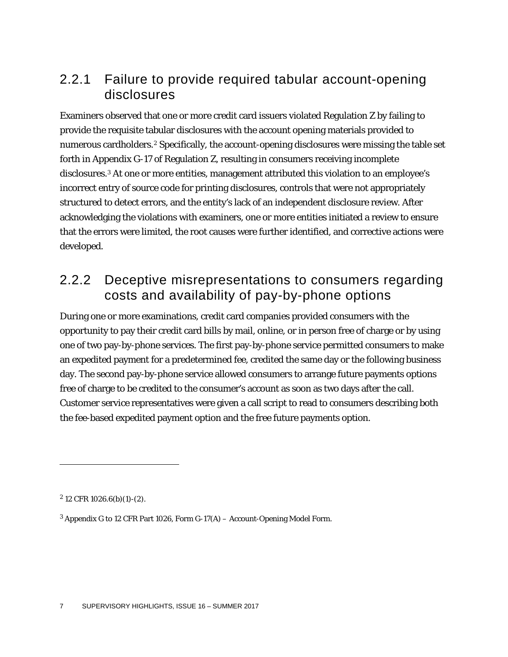### 2.2.1 Failure to provide required tabular account-opening disclosures

Examiners observed that one or more credit card issuers violated Regulation Z by failing to provide the requisite tabular disclosures with the account opening materials provided to numerous cardholders.<sup>[2](#page-7-0)</sup> Specifically, the account-opening disclosures were missing the table set forth in Appendix G-17 of Regulation Z, resulting in consumers receiving incomplete disclosures[.3](#page-7-1) At one or more entities, management attributed this violation to an employee's incorrect entry of source code for printing disclosures, controls that were not appropriately structured to detect errors, and the entity's lack of an independent disclosure review. After acknowledging the violations with examiners, one or more entities initiated a review to ensure that the errors were limited, the root causes were further identified, and corrective actions were developed.

### 2.2.2 Deceptive misrepresentations to consumers regarding costs and availability of pay-by-phone options

During one or more examinations, credit card companies provided consumers with the opportunity to pay their credit card bills by mail, online, or in person free of charge or by using one of two pay-by-phone services. The first pay-by-phone service permitted consumers to make an expedited payment for a predetermined fee, credited the same day or the following business day. The second pay-by-phone service allowed consumers to arrange future payments options free of charge to be credited to the consumer's account as soon as two days after the call. Customer service representatives were given a call script to read to consumers describing both the fee-based expedited payment option and the free future payments option.

<span id="page-7-0"></span> $2$  12 CFR 1026.6(b)(1)-(2).

<span id="page-7-1"></span><sup>3</sup> Appendix G to 12 CFR Part 1026, Form G-17(A) – Account-Opening Model Form.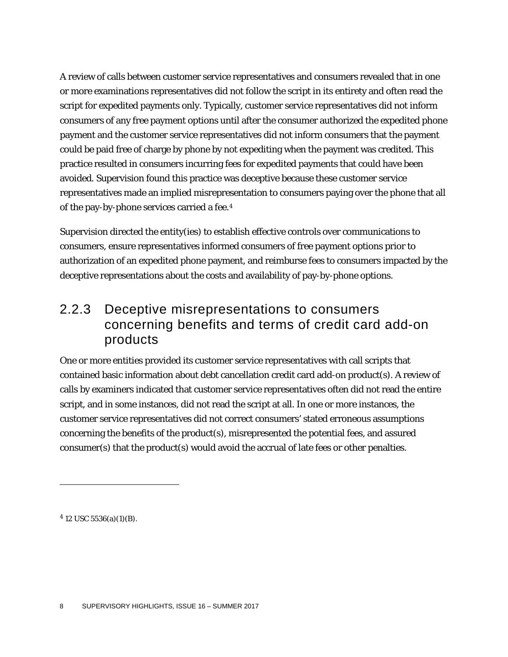A review of calls between customer service representatives and consumers revealed that in one or more examinations representatives did not follow the script in its entirety and often read the script for expedited payments only. Typically, customer service representatives did not inform consumers of any free payment options until after the consumer authorized the expedited phone payment and the customer service representatives did not inform consumers that the payment could be paid free of charge by phone by not expediting when the payment was credited. This practice resulted in consumers incurring fees for expedited payments that could have been avoided. Supervision found this practice was deceptive because these customer service representatives made an implied misrepresentation to consumers paying over the phone that all of the pay-by-phone services carried a fee.[4](#page-8-0)

Supervision directed the entity(ies) to establish effective controls over communications to consumers, ensure representatives informed consumers of free payment options prior to authorization of an expedited phone payment, and reimburse fees to consumers impacted by the deceptive representations about the costs and availability of pay-by-phone options.

### 2.2.3 Deceptive misrepresentations to consumers concerning benefits and terms of credit card add-on products

One or more entities provided its customer service representatives with call scripts that contained basic information about debt cancellation credit card add-on product(s). A review of calls by examiners indicated that customer service representatives often did not read the entire script, and in some instances, did not read the script at all. In one or more instances, the customer service representatives did not correct consumers' stated erroneous assumptions concerning the benefits of the product(s), misrepresented the potential fees, and assured consumer(s) that the product(s) would avoid the accrual of late fees or other penalties.

<span id="page-8-0"></span> $4$  12 USC 5536(a)(1)(B).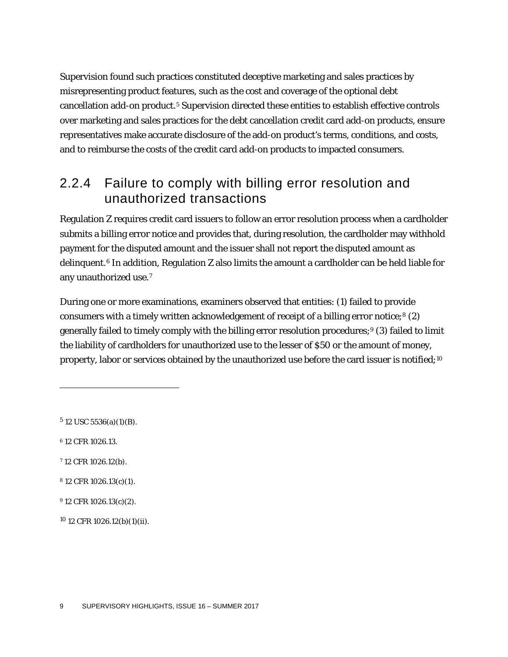Supervision found such practices constituted deceptive marketing and sales practices by misrepresenting product features, such as the cost and coverage of the optional debt cancellation add-on product.<sup>[5](#page-9-0)</sup> Supervision directed these entities to establish effective controls over marketing and sales practices for the debt cancellation credit card add-on products, ensure representatives make accurate disclosure of the add-on product's terms, conditions, and costs, and to reimburse the costs of the credit card add-on products to impacted consumers.

# 2.2.4 Failure to comply with billing error resolution and unauthorized transactions

Regulation Z requires credit card issuers to follow an error resolution process when a cardholder submits a billing error notice and provides that, during resolution, the cardholder may withhold payment for the disputed amount and the issuer shall not report the disputed amount as delinquent.[6](#page-9-1) In addition, Regulation Z also limits the amount a cardholder can be held liable for any unauthorized use.[7](#page-9-2)

During one or more examinations, examiners observed that entities: (1) failed to provide consumers with a timely written acknowledgement of receipt of a billing error notice;<sup>[8](#page-9-3)</sup> (2) generally failed to timely comply with the billing error resolution procedures;<sup>[9](#page-9-4)</sup> (3) failed to limit the liability of cardholders for unauthorized use to the lesser of \$50 or the amount of money, property, labor or services obtained by the unauthorized use before the card issuer is notified;<sup>[10](#page-9-5)</sup>

<span id="page-9-0"></span> $5$  12 USC 5536(a)(1)(B).

<span id="page-9-1"></span><sup>6</sup> 12 CFR 1026.13.

 $\overline{a}$ 

<span id="page-9-2"></span><sup>7</sup> 12 CFR 1026.12(b).

<span id="page-9-3"></span><sup>8</sup> 12 CFR 1026.13(c)(1).

<span id="page-9-4"></span><sup>9</sup> 12 CFR 1026.13(c)(2).

<span id="page-9-5"></span><sup>10</sup> 12 CFR 1026.12(b)(1)(ii).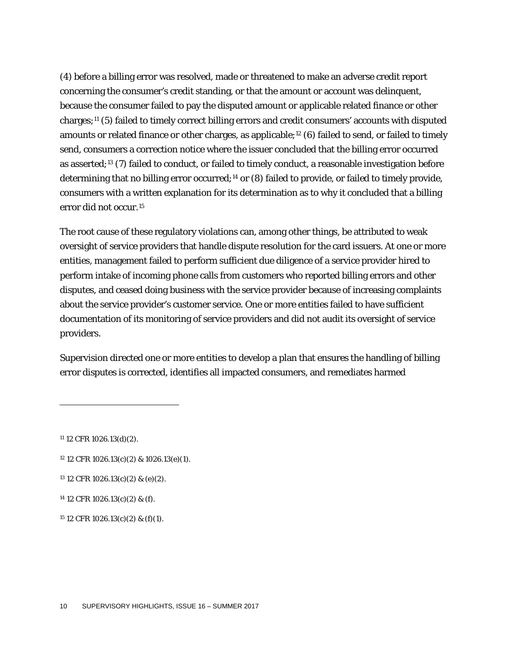(4) before a billing error was resolved, made or threatened to make an adverse credit report concerning the consumer's credit standing, or that the amount or account was delinquent, because the consumer failed to pay the disputed amount or applicable related finance or other charges;[11](#page-10-0) (5) failed to timely correct billing errors and credit consumers' accounts with disputed amounts or related finance or other charges, as applicable;<sup>[12](#page-10-1)</sup> (6) failed to send, or failed to timely send, consumers a correction notice where the issuer concluded that the billing error occurred as asserted;[13](#page-10-2) (7) failed to conduct, or failed to timely conduct, a reasonable investigation before determining that no billing error occurred;[14](#page-10-3) or (8) failed to provide, or failed to timely provide, consumers with a written explanation for its determination as to why it concluded that a billing error did not occur.[15](#page-10-4)

The root cause of these regulatory violations can, among other things, be attributed to weak oversight of service providers that handle dispute resolution for the card issuers. At one or more entities, management failed to perform sufficient due diligence of a service provider hired to perform intake of incoming phone calls from customers who reported billing errors and other disputes, and ceased doing business with the service provider because of increasing complaints about the service provider's customer service. One or more entities failed to have sufficient documentation of its monitoring of service providers and did not audit its oversight of service providers.

Supervision directed one or more entities to develop a plan that ensures the handling of billing error disputes is corrected, identifies all impacted consumers, and remediates harmed

<span id="page-10-0"></span><sup>11</sup> 12 CFR 1026.13(d)(2).

- <span id="page-10-1"></span><sup>12</sup> 12 CFR 1026.13(c)(2) & 1026.13(e)(1).
- <span id="page-10-2"></span><sup>13</sup> 12 CFR 1026.13(c)(2) & (e)(2).

<span id="page-10-3"></span><sup>14</sup> 12 CFR 1026.13(c)(2) & (f).

<span id="page-10-4"></span> $15$  12 CFR 1026.13(c)(2) & (f)(1).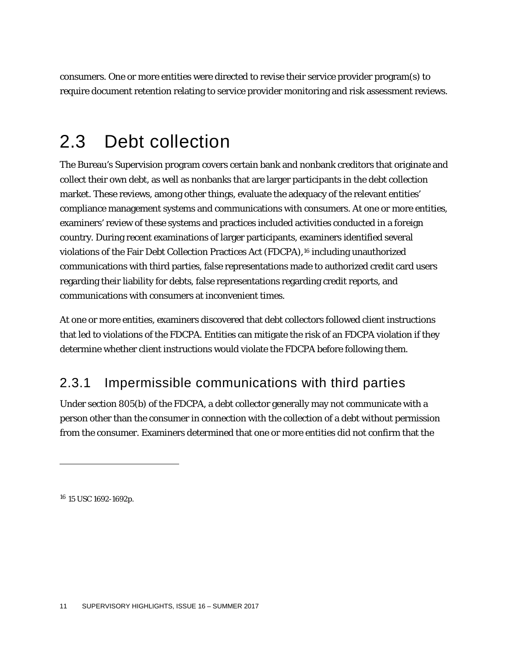consumers. One or more entities were directed to revise their service provider program(s) to require document retention relating to service provider monitoring and risk assessment reviews.

# 2.3 Debt collection

The Bureau's Supervision program covers certain bank and nonbank creditors that originate and collect their own debt, as well as nonbanks that are larger participants in the debt collection market. These reviews, among other things, evaluate the adequacy of the relevant entities' compliance management systems and communications with consumers. At one or more entities, examiners' review of these systems and practices included activities conducted in a foreign country. During recent examinations of larger participants, examiners identified several violations of the Fair Debt Collection Practices Act (FDCPA),[16](#page-11-0) including unauthorized communications with third parties, false representations made to authorized credit card users regarding their liability for debts, false representations regarding credit reports, and communications with consumers at inconvenient times.

At one or more entities, examiners discovered that debt collectors followed client instructions that led to violations of the FDCPA. Entities can mitigate the risk of an FDCPA violation if they determine whether client instructions would violate the FDCPA before following them.

## 2.3.1 Impermissible communications with third parties

Under section 805(b) of the FDCPA, a debt collector generally may not communicate with a person other than the consumer in connection with the collection of a debt without permission from the consumer. Examiners determined that one or more entities did not confirm that the

<span id="page-11-0"></span><sup>16</sup> 15 USC 1692-1692p.

 $\overline{a}$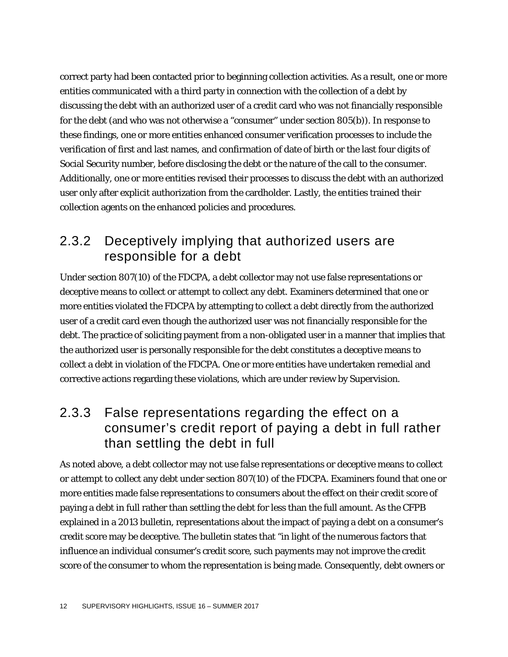correct party had been contacted prior to beginning collection activities. As a result, one or more entities communicated with a third party in connection with the collection of a debt by discussing the debt with an authorized user of a credit card who was not financially responsible for the debt (and who was not otherwise a "consumer" under section 805(b)). In response to these findings, one or more entities enhanced consumer verification processes to include the verification of first and last names, and confirmation of date of birth or the last four digits of Social Security number, before disclosing the debt or the nature of the call to the consumer. Additionally, one or more entities revised their processes to discuss the debt with an authorized user only after explicit authorization from the cardholder. Lastly, the entities trained their collection agents on the enhanced policies and procedures.

### 2.3.2 Deceptively implying that authorized users are responsible for a debt

Under section 807(10) of the FDCPA, a debt collector may not use false representations or deceptive means to collect or attempt to collect any debt. Examiners determined that one or more entities violated the FDCPA by attempting to collect a debt directly from the authorized user of a credit card even though the authorized user was not financially responsible for the debt. The practice of soliciting payment from a non-obligated user in a manner that implies that the authorized user is personally responsible for the debt constitutes a deceptive means to collect a debt in violation of the FDCPA. One or more entities have undertaken remedial and corrective actions regarding these violations, which are under review by Supervision.

### 2.3.3 False representations regarding the effect on a consumer's credit report of paying a debt in full rather than settling the debt in full

As noted above, a debt collector may not use false representations or deceptive means to collect or attempt to collect any debt under section 807(10) of the FDCPA. Examiners found that one or more entities made false representations to consumers about the effect on their credit score of paying a debt in full rather than settling the debt for less than the full amount. As the CFPB explained in a 2013 bulletin, representations about the impact of paying a debt on a consumer's credit score may be deceptive. The bulletin states that "in light of the numerous factors that influence an individual consumer's credit score, such payments may not improve the credit score of the consumer to whom the representation is being made. Consequently, debt owners or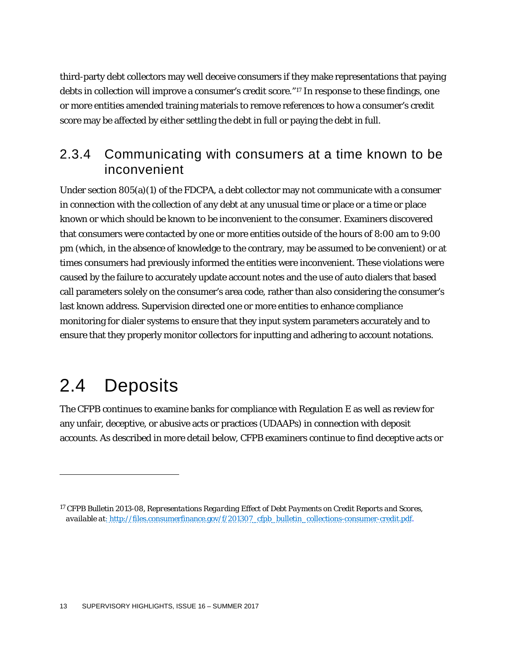third-party debt collectors may well deceive consumers if they make representations that paying debts in collection will improve a consumer's credit score."[17](#page-13-0) In response to these findings, one or more entities amended training materials to remove references to how a consumer's credit score may be affected by either settling the debt in full or paying the debt in full.

### 2.3.4 Communicating with consumers at a time known to be inconvenient

Under section 805(a)(1) of the FDCPA, a debt collector may not communicate with a consumer in connection with the collection of any debt at any unusual time or place or a time or place known or which should be known to be inconvenient to the consumer. Examiners discovered that consumers were contacted by one or more entities outside of the hours of 8:00 am to 9:00 pm (which, in the absence of knowledge to the contrary, may be assumed to be convenient) or at times consumers had previously informed the entities were inconvenient. These violations were caused by the failure to accurately update account notes and the use of auto dialers that based call parameters solely on the consumer's area code, rather than also considering the consumer's last known address. Supervision directed one or more entities to enhance compliance monitoring for dialer systems to ensure that they input system parameters accurately and to ensure that they properly monitor collectors for inputting and adhering to account notations.

# 2.4 Deposits

1

The CFPB continues to examine banks for compliance with Regulation E as well as review for any unfair, deceptive, or abusive acts or practices (UDAAPs) in connection with deposit accounts. As described in more detail below, CFPB examiners continue to find deceptive acts or

<span id="page-13-0"></span><sup>17</sup> CFPB Bulletin 2013-08, *Representations Regarding Effect of Debt Payments on Credit Reports and Scores*, *available at*: http://files.consumerfinance.gov/f/201307\_cfpb\_bulletin\_collections-consumer-credit.pdf.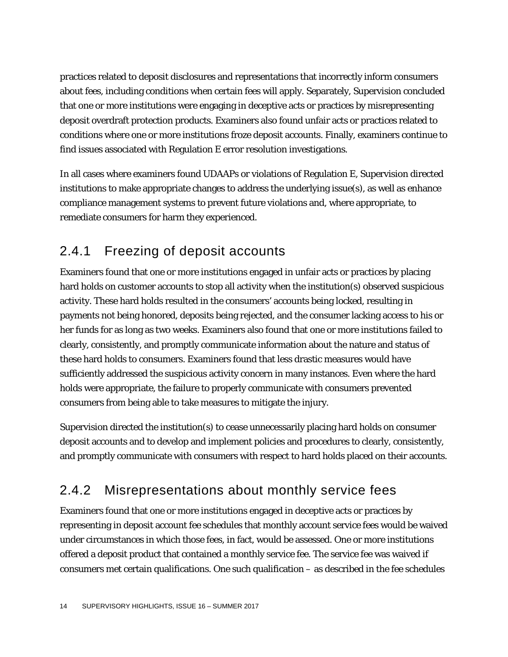practices related to deposit disclosures and representations that incorrectly inform consumers about fees, including conditions when certain fees will apply. Separately, Supervision concluded that one or more institutions were engaging in deceptive acts or practices by misrepresenting deposit overdraft protection products. Examiners also found unfair acts or practices related to conditions where one or more institutions froze deposit accounts. Finally, examiners continue to find issues associated with Regulation E error resolution investigations.

In all cases where examiners found UDAAPs or violations of Regulation E, Supervision directed institutions to make appropriate changes to address the underlying issue(s), as well as enhance compliance management systems to prevent future violations and, where appropriate, to remediate consumers for harm they experienced.

# 2.4.1 Freezing of deposit accounts

Examiners found that one or more institutions engaged in unfair acts or practices by placing hard holds on customer accounts to stop all activity when the institution(s) observed suspicious activity. These hard holds resulted in the consumers' accounts being locked, resulting in payments not being honored, deposits being rejected, and the consumer lacking access to his or her funds for as long as two weeks. Examiners also found that one or more institutions failed to clearly, consistently, and promptly communicate information about the nature and status of these hard holds to consumers. Examiners found that less drastic measures would have sufficiently addressed the suspicious activity concern in many instances. Even where the hard holds were appropriate, the failure to properly communicate with consumers prevented consumers from being able to take measures to mitigate the injury.

Supervision directed the institution(s) to cease unnecessarily placing hard holds on consumer deposit accounts and to develop and implement policies and procedures to clearly, consistently, and promptly communicate with consumers with respect to hard holds placed on their accounts.

# 2.4.2 Misrepresentations about monthly service fees

Examiners found that one or more institutions engaged in deceptive acts or practices by representing in deposit account fee schedules that monthly account service fees would be waived under circumstances in which those fees, in fact, would be assessed. One or more institutions offered a deposit product that contained a monthly service fee. The service fee was waived if consumers met certain qualifications. One such qualification – as described in the fee schedules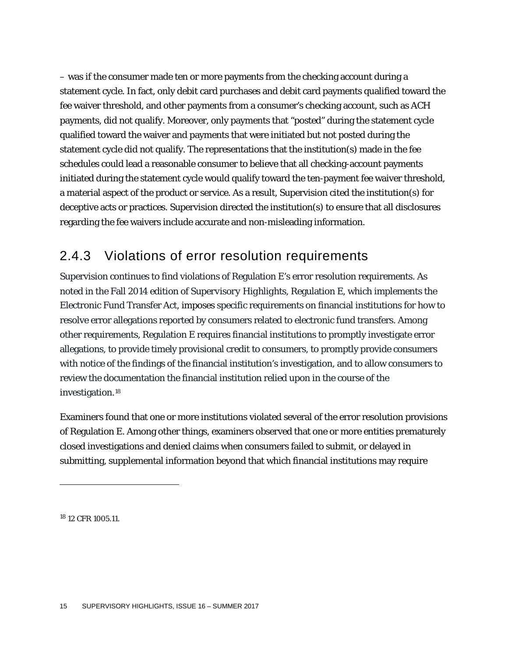– was if the consumer made ten or more payments from the checking account during a statement cycle. In fact, only debit card purchases and debit card payments qualified toward the fee waiver threshold, and other payments from a consumer's checking account, such as ACH payments, did not qualify. Moreover, only payments that "posted" during the statement cycle qualified toward the waiver and payments that were initiated but not posted during the statement cycle did not qualify. The representations that the institution(s) made in the fee schedules could lead a reasonable consumer to believe that all checking-account payments initiated during the statement cycle would qualify toward the ten-payment fee waiver threshold, a material aspect of the product or service. As a result, Supervision cited the institution(s) for deceptive acts or practices. Supervision directed the institution(s) to ensure that all disclosures regarding the fee waivers include accurate and non-misleading information.

### 2.4.3 Violations of error resolution requirements

Supervision continues to find violations of Regulation E's error resolution requirements. As noted in the Fall 2014 edition of *Supervisory Highlights*, Regulation E, which implements the Electronic Fund Transfer Act, imposes specific requirements on financial institutions for how to resolve error allegations reported by consumers related to electronic fund transfers. Among other requirements, Regulation E requires financial institutions to promptly investigate error allegations, to provide timely provisional credit to consumers, to promptly provide consumers with notice of the findings of the financial institution's investigation, and to allow consumers to review the documentation the financial institution relied upon in the course of the investigation.[18](#page-15-0)

Examiners found that one or more institutions violated several of the error resolution provisions of Regulation E. Among other things, examiners observed that one or more entities prematurely closed investigations and denied claims when consumers failed to submit, or delayed in submitting, supplemental information beyond that which financial institutions may require

<span id="page-15-0"></span><sup>18</sup> 12 CFR 1005.11.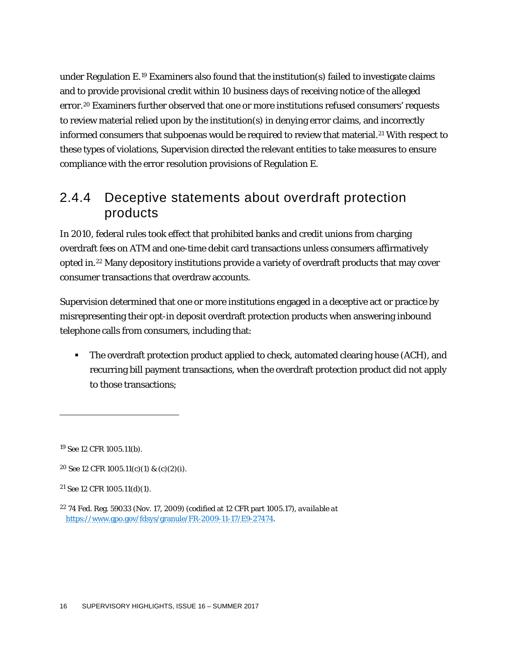under Regulation  $E^{19}$  $E^{19}$  $E^{19}$  Examiners also found that the institution(s) failed to investigate claims and to provide provisional credit within 10 business days of receiving notice of the alleged error.[20](#page-16-1) Examiners further observed that one or more institutions refused consumers' requests to review material relied upon by the institution(s) in denying error claims, and incorrectly informed consumers that subpoenas would be required to review that material.[21](#page-16-2) With respect to these types of violations, Supervision directed the relevant entities to take measures to ensure compliance with the error resolution provisions of Regulation E.

### 2.4.4 Deceptive statements about overdraft protection products

In 2010, federal rules took effect that prohibited banks and credit unions from charging overdraft fees on ATM and one-time debit card transactions unless consumers affirmatively opted in[.22](#page-16-3) Many depository institutions provide a variety of overdraft products that may cover consumer transactions that overdraw accounts.

Supervision determined that one or more institutions engaged in a deceptive act or practice by misrepresenting their opt-in deposit overdraft protection products when answering inbound telephone calls from consumers, including that:

• The overdraft protection product applied to check, automated clearing house (ACH), and recurring bill payment transactions, when the overdraft protection product did not apply to those transactions;

<span id="page-16-0"></span><sup>19</sup> *See* 12 CFR 1005.11(b).

<span id="page-16-1"></span><sup>20</sup> *See* 12 CFR 1005.11(c)(1) & (c)(2)(i).

<span id="page-16-2"></span><sup>21</sup> *See* 12 CFR 1005.11(d)(1).

<span id="page-16-3"></span><sup>22</sup> 74 Fed. Reg. 59033 (Nov. 17, 2009) (codified at 12 CFR part 1005.17), *available at* [https://www.gpo.gov/fdsys/granule/FR-2009-11-17/E9-27474.](https://www.gpo.gov/fdsys/granule/FR-2009-11-17/E9-27474)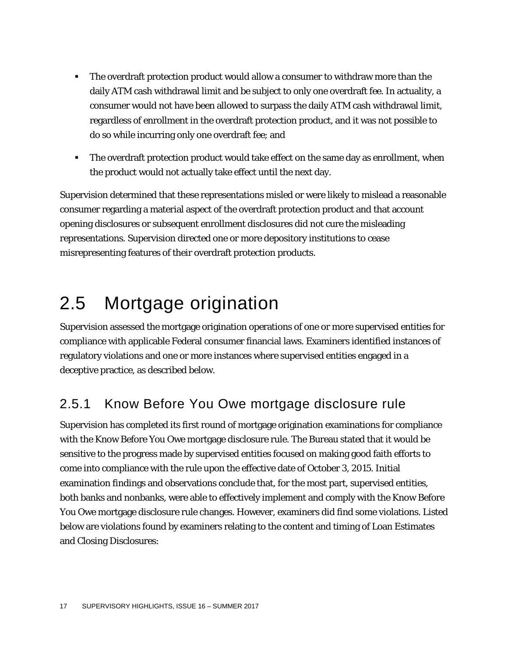- The overdraft protection product would allow a consumer to withdraw more than the daily ATM cash withdrawal limit and be subject to only one overdraft fee. In actuality, a consumer would not have been allowed to surpass the daily ATM cash withdrawal limit, regardless of enrollment in the overdraft protection product, and it was not possible to do so while incurring only one overdraft fee; and
- **The overdraft protection product would take effect on the same day as enrollment, when** the product would not actually take effect until the next day.

Supervision determined that these representations misled or were likely to mislead a reasonable consumer regarding a material aspect of the overdraft protection product and that account opening disclosures or subsequent enrollment disclosures did not cure the misleading representations. Supervision directed one or more depository institutions to cease misrepresenting features of their overdraft protection products.

# 2.5 Mortgage origination

Supervision assessed the mortgage origination operations of one or more supervised entities for compliance with applicable Federal consumer financial laws. Examiners identified instances of regulatory violations and one or more instances where supervised entities engaged in a deceptive practice, as described below.

# 2.5.1 Know Before You Owe mortgage disclosure rule

Supervision has completed its first round of mortgage origination examinations for compliance with the Know Before You Owe mortgage disclosure rule. The Bureau stated that it would be sensitive to the progress made by supervised entities focused on making good faith efforts to come into compliance with the rule upon the effective date of October 3, 2015. Initial examination findings and observations conclude that, for the most part, supervised entities, both banks and nonbanks, were able to effectively implement and comply with the Know Before You Owe mortgage disclosure rule changes. However, examiners did find some violations. Listed below are violations found by examiners relating to the content and timing of Loan Estimates and Closing Disclosures: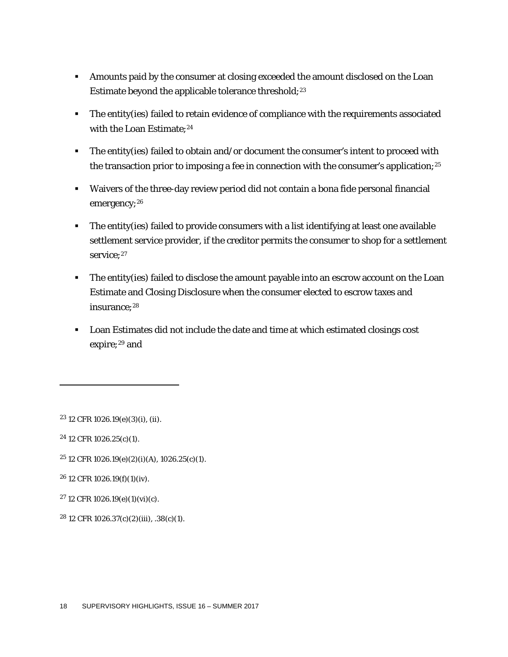- Amounts paid by the consumer at closing exceeded the amount disclosed on the Loan Estimate beyond the applicable tolerance threshold;<sup>[23](#page-18-0)</sup>
- The entity(ies) failed to retain evidence of compliance with the requirements associated with the Loan Estimate:<sup>[24](#page-18-1)</sup>
- The entity(ies) failed to obtain and/or document the consumer's intent to proceed with the transaction prior to imposing a fee in connection with the consumer's application;<sup>[25](#page-18-2)</sup>
- Waivers of the three-day review period did not contain a bona fide personal financial emergency;<sup>[26](#page-18-3)</sup>
- The entity(ies) failed to provide consumers with a list identifying at least one available settlement service provider, if the creditor permits the consumer to shop for a settlement service;<sup>[27](#page-18-4)</sup>
- The entity(ies) failed to disclose the amount payable into an escrow account on the Loan Estimate and Closing Disclosure when the consumer elected to escrow taxes and insurance;<sup>[28](#page-18-5)</sup>
- Loan Estimates did not include the date and time at which estimated closings cost expire;<sup>[29](#page-18-6)</sup> and

<span id="page-18-0"></span><sup>23</sup> 12 CFR 1026.19(e)(3)(i), (ii).

<span id="page-18-1"></span><sup>24</sup> 12 CFR 1026.25(c)(1).

1

<span id="page-18-2"></span> $25$  12 CFR 1026.19(e)(2)(i)(A), 1026.25(c)(1).

<span id="page-18-3"></span><sup>26</sup> 12 CFR 1026.19(f)(1)(iv).

- <span id="page-18-6"></span><span id="page-18-4"></span><sup>27</sup> 12 CFR 1026.19(e)(1)(vi)(c).
- <span id="page-18-5"></span><sup>28</sup> 12 CFR 1026.37(c)(2)(iii), .38(c)(1).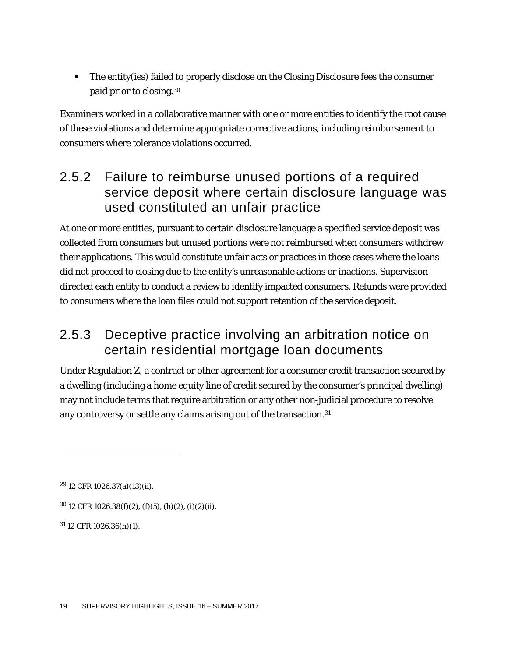The entity(ies) failed to properly disclose on the Closing Disclosure fees the consumer paid prior to closing.[30](#page-19-0)

Examiners worked in a collaborative manner with one or more entities to identify the root cause of these violations and determine appropriate corrective actions, including reimbursement to consumers where tolerance violations occurred.

## 2.5.2 Failure to reimburse unused portions of a required service deposit where certain disclosure language was used constituted an unfair practice

At one or more entities, pursuant to certain disclosure language a specified service deposit was collected from consumers but unused portions were not reimbursed when consumers withdrew their applications. This would constitute unfair acts or practices in those cases where the loans did not proceed to closing due to the entity's unreasonable actions or inactions. Supervision directed each entity to conduct a review to identify impacted consumers. Refunds were provided to consumers where the loan files could not support retention of the service deposit.

# 2.5.3 Deceptive practice involving an arbitration notice on certain residential mortgage loan documents

Under Regulation Z, a contract or other agreement for a consumer credit transaction secured by a dwelling (including a home equity line of credit secured by the consumer's principal dwelling) may not include terms that require arbitration or any other non-judicial procedure to resolve any controversy or settle any claims arising out of the transaction.<sup>31</sup>

1

<span id="page-19-1"></span><sup>31</sup> 12 CFR 1026.36(h)(1).

<sup>29</sup> 12 CFR 1026.37(a)(13)(ii).

<span id="page-19-0"></span> $30$  12 CFR 1026.38(f)(2), (f)(5), (h)(2), (i)(2)(ii).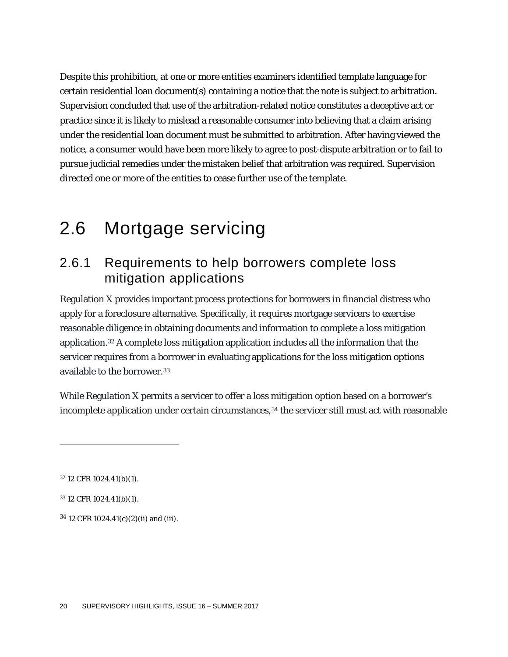Despite this prohibition, at one or more entities examiners identified template language for certain residential loan document(s) containing a notice that the note is subject to arbitration. Supervision concluded that use of the arbitration-related notice constitutes a deceptive act or practice since it is likely to mislead a reasonable consumer into believing that a claim arising under the residential loan document must be submitted to arbitration. After having viewed the notice, a consumer would have been more likely to agree to post-dispute arbitration or to fail to pursue judicial remedies under the mistaken belief that arbitration was required. Supervision directed one or more of the entities to cease further use of the template.

# 2.6 Mortgage servicing

### 2.6.1 Requirements to help borrowers complete loss mitigation applications

Regulation X provides important process protections for borrowers in financial distress who apply for a foreclosure alternative. Specifically, it requires mortgage [servicers](https://www.consumerfinance.gov/eregulations/1024-2/2015-18239#1024-2-b-Servicer) to exercise reasonable diligence in obtaining documents and information to complete a loss [mitigation](https://www.consumerfinance.gov/eregulations/1024-31/2015-18239#1024-31-LossMitigationApplication) [application.](https://www.consumerfinance.gov/eregulations/1024-31/2015-18239#1024-31-LossMitigationApplication)[32](#page-20-0) A complete loss mitigation application includes all the information that the servicer requires from a borrower in evaluating applications for the loss mitigation options available to the borrower.<sup>[33](#page-20-1)</sup>

While Regulation X permits a servicer to offer a loss mitigation option based on a borrower's incomplete application under certain circumstances,<sup>[34](#page-20-2)</sup> the servicer still must act with reasonable

<span id="page-20-0"></span><sup>32</sup> 12 CFR 1024.41(b)(1).

1

<span id="page-20-1"></span><sup>33</sup> 12 CFR 1024.41(b)(1).

<span id="page-20-2"></span> $34$  12 CFR 1024.41(c)(2)(ii) and (iii).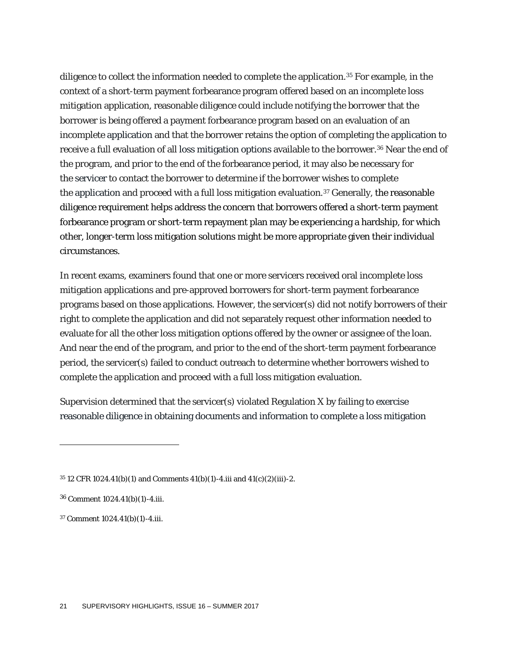diligence to collect the information needed to complete the application.[35](#page-21-0) For example, in the context of a short-term payment forbearance program offered based on an incomplete loss mitigation application, reasonable diligence could include notifying the borrower that the borrower is being offered a payment forbearance program based on an evaluation of an incomplete [application](https://www.consumerfinance.gov/eregulations/1024-2/2015-18239#1024-2-b-Application) and that the borrower retains the option of completing the [application](https://www.consumerfinance.gov/eregulations/1024-2/2015-18239#1024-2-b-Application) to receive a full evaluation of all loss [mitigation](https://www.consumerfinance.gov/eregulations/1024-31/2015-18239#1024-31-LossMitigationOption) options available to the borrower.[36](#page-21-1) Near the end of the program, and prior to the end of the forbearance period, it may also be necessary for the [servicer](https://www.consumerfinance.gov/eregulations/1024-2/2015-18239#1024-2-b-Servicer) to contact the borrower to determine if the borrower wishes to complete the [application](https://www.consumerfinance.gov/eregulations/1024-2/2015-18239#1024-2-b-Application) and proceed with a full loss mitigation evaluation.[37](#page-21-2) Generally, the reasonable diligence requirement helps address the concern that borrowers offered a short-term payment forbearance program or short-term repayment plan may be experiencing a hardship, for which other, longer-term loss mitigation solutions might be more appropriate given their individual circumstances.

In recent exams, examiners found that one or more servicers received oral incomplete loss mitigation applications and pre-approved borrowers for short-term payment forbearance programs based on those applications. However, the servicer(s) did not notify borrowers of their right to complete the application and did not separately request other information needed to evaluate for all the other loss mitigation options offered by the owner or assignee of the loan. And near the end of the program, and prior to the end of the short-term payment forbearance period, the servicer(s) failed to conduct outreach to determine whether borrowers wished to complete the application and proceed with a full loss mitigation evaluation.

Supervision determined that the servicer(s) violated Regulation X by failing to exercise reasonable diligence in obtaining documents and information to complete a loss [mitigation](https://www.consumerfinance.gov/eregulations/1024-31/2015-18239#1024-31-LossMitigationApplication)

<span id="page-21-0"></span><sup>35</sup> 12 CFR 1024.41(b)(1) and Comments 41(b)(1)-4.iii and 41(c)(2)(iii)-2.

<span id="page-21-1"></span><sup>36</sup> Comment 1024.41(b)(1)-4.iii.

<span id="page-21-2"></span><sup>37</sup> Comment 1024.41(b)(1)-4.iii.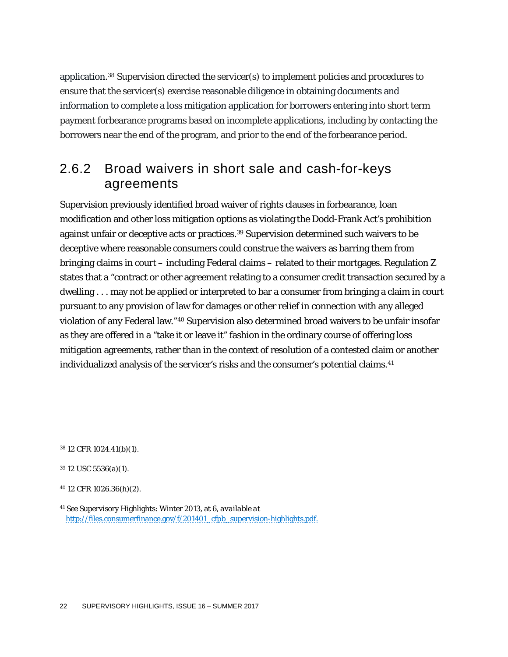[application.](https://www.consumerfinance.gov/eregulations/1024-31/2015-18239#1024-31-LossMitigationApplication)[38](#page-22-0) Supervision directed the servicer(s) to implement policies and procedures to ensure that the servicer(s) exercise reasonable diligence in obtaining documents and information to complete a loss mitigation [application](https://www.consumerfinance.gov/eregulations/1024-31/2015-18239#1024-31-LossMitigationApplication) for borrowers entering into short term payment forbearance programs based on incomplete applications, including by contacting the borrowers near the end of the program, and prior to the end of the forbearance period.

## 2.6.2 Broad waivers in short sale and cash-for-keys agreements

Supervision previously identified broad waiver of rights clauses in forbearance, loan modification and other loss mitigation options as violating the Dodd-Frank Act's prohibition against unfair or deceptive acts or practices[.39](#page-22-1) Supervision determined such waivers to be deceptive where reasonable consumers could construe the waivers as barring them from bringing claims in court – including Federal claims – related to their mortgages. Regulation Z states that a "contract or other agreement relating to a consumer credit transaction secured by a dwelling . . . may not be applied or interpreted to bar a consumer from bringing a claim in court pursuant to any provision of law for damages or other relief in connection with any alleged violation of any Federal law."[40](#page-22-2) Supervision also determined broad waivers to be unfair insofar as they are offered in a "take it or leave it" fashion in the ordinary course of offering loss mitigation agreements, rather than in the context of resolution of a contested claim or another individualized analysis of the servicer's risks and the consumer's potential claims.<sup>41</sup>

<span id="page-22-0"></span><sup>38</sup> 12 CFR 1024.41(b)(1).

<span id="page-22-1"></span><sup>39</sup> 12 USC 5536(a)(1).

<span id="page-22-2"></span><sup>40</sup> 12 CFR 1026.36(h)(2).

<span id="page-22-3"></span><sup>41</sup> *See* Supervisory Highlights: Winter 2013, at 6, *available at* [http://files.consumerfinance.gov/f/201401\\_cfpb\\_supervision-highlights.pdf.](http://files.consumerfinance.gov/f/201401_cfpb_supervision-highlights.pdf)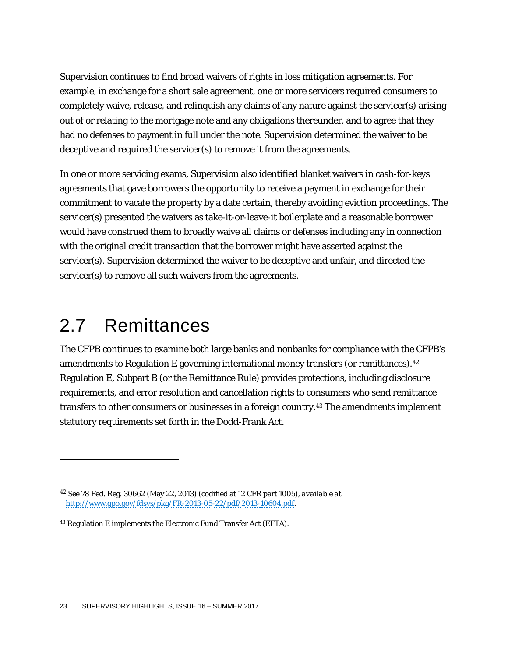Supervision continues to find broad waivers of rights in loss mitigation agreements. For example, in exchange for a short sale agreement, one or more servicers required consumers to completely waive, release, and relinquish any claims of any nature against the servicer(s) arising out of or relating to the mortgage note and any obligations thereunder, and to agree that they had no defenses to payment in full under the note. Supervision determined the waiver to be deceptive and required the servicer(s) to remove it from the agreements.

In one or more servicing exams, Supervision also identified blanket waivers in cash-for-keys agreements that gave borrowers the opportunity to receive a payment in exchange for their commitment to vacate the property by a date certain, thereby avoiding eviction proceedings. The servicer(s) presented the waivers as take-it-or-leave-it boilerplate and a reasonable borrower would have construed them to broadly waive all claims or defenses including any in connection with the original credit transaction that the borrower might have asserted against the servicer(s). Supervision determined the waiver to be deceptive and unfair, and directed the servicer(s) to remove all such waivers from the agreements.

# 2.7 Remittances

1

The CFPB continues to examine both large banks and nonbanks for compliance with the CFPB's amendments to Regulation E governing international money transfers (or remittances).<sup>[42](#page-23-0)</sup> Regulation E, Subpart B (or the Remittance Rule) provides protections, including disclosure requirements, and error resolution and cancellation rights to consumers who send remittance transfers to other consumers or businesses in a foreign country.[43](#page-23-1) The amendments implement statutory requirements set forth in the Dodd-Frank Act.

<span id="page-23-0"></span><sup>42</sup> *See* 78 Fed. Reg. 30662 (May 22, 2013) (codified at 12 CFR part 1005), *available at* [http://www.gpo.gov/fdsys/pkg/FR-2013-05-22/pdf/2013-10604.pdf.](http://www.gpo.gov/fdsys/pkg/FR-2013-05-22/pdf/2013-10604.pdf) 

<span id="page-23-1"></span><sup>43</sup> Regulation E implements the Electronic Fund Transfer Act (EFTA).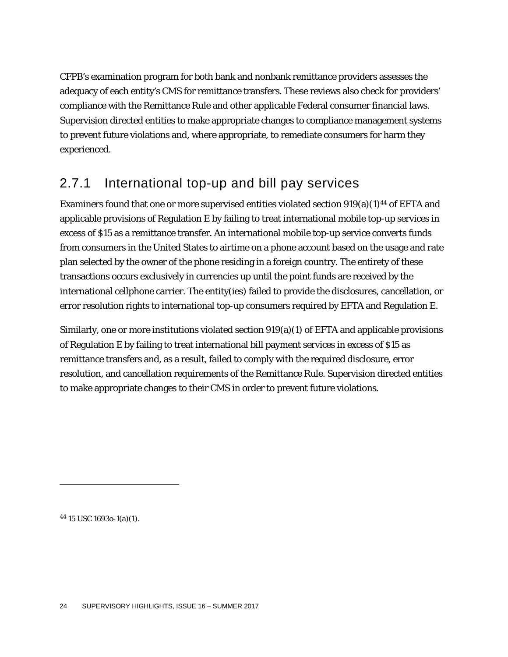CFPB's examination program for both bank and nonbank remittance providers assesses the adequacy of each entity's CMS for remittance transfers. These reviews also check for providers' compliance with the Remittance Rule and other applicable Federal consumer financial laws. Supervision directed entities to make appropriate changes to compliance management systems to prevent future violations and, where appropriate, to remediate consumers for harm they experienced.

### 2.7.1 International top-up and bill pay services

Examiners found that one or more supervised entities violated section  $919(a)(1)^{44}$  $919(a)(1)^{44}$  $919(a)(1)^{44}$  of EFTA and applicable provisions of Regulation E by failing to treat international mobile top-up services in excess of \$15 as a remittance transfer. An international mobile top-up service converts funds from consumers in the United States to airtime on a phone account based on the usage and rate plan selected by the owner of the phone residing in a foreign country. The entirety of these transactions occurs exclusively in currencies up until the point funds are received by the international cellphone carrier. The entity(ies) failed to provide the disclosures, cancellation, or error resolution rights to international top-up consumers required by EFTA and Regulation E.

Similarly, one or more institutions violated section 919(a)(1) of EFTA and applicable provisions of Regulation E by failing to treat international bill payment services in excess of \$15 as remittance transfers and, as a result, failed to comply with the required disclosure, error resolution, and cancellation requirements of the Remittance Rule. Supervision directed entities to make appropriate changes to their CMS in order to prevent future violations.

<span id="page-24-0"></span><sup>44</sup> 15 USC 1693o-1(a)(1).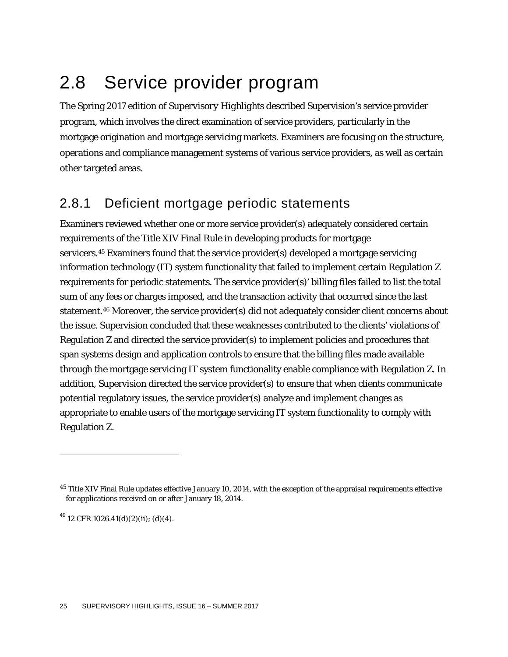# 2.8 Service provider program

The Spring 2017 edition of *Supervisory Highlights* described Supervision's service provider program, which involves the direct examination of service providers, particularly in the mortgage origination and mortgage servicing markets. Examiners are focusing on the structure, operations and compliance management systems of various service providers, as well as certain other targeted areas.

# 2.8.1 Deficient mortgage periodic statements

Examiners reviewed whether one or more service provider(s) adequately considered certain requirements of the Title XIV Final Rule in developing products for mortgage servicers.[45](#page-25-0) Examiners found that the service provider(s) developed a mortgage servicing information technology (IT) system functionality that failed to implement certain Regulation Z requirements for periodic statements. The service provider(s)' billing files failed to list the total sum of any fees or charges imposed, and the transaction activity that occurred since the last statement.[46](#page-25-1) Moreover, the service provider(s) did not adequately consider client concerns about the issue. Supervision concluded that these weaknesses contributed to the clients' violations of Regulation Z and directed the service provider(s) to implement policies and procedures that span systems design and application controls to ensure that the billing files made available through the mortgage servicing IT system functionality enable compliance with Regulation Z. In addition, Supervision directed the service provider(s) to ensure that when clients communicate potential regulatory issues, the service provider(s) analyze and implement changes as appropriate to enable users of the mortgage servicing IT system functionality to comply with Regulation Z.

<span id="page-25-1"></span> $^{46}$  12 CFR 1026.41(d)(2)(ii); (d)(4).

<span id="page-25-0"></span><sup>&</sup>lt;sup>45</sup> Title XIV Final Rule updates effective January 10, 2014, with the exception of the appraisal requirements effective for applications received on or after January 18, 2014.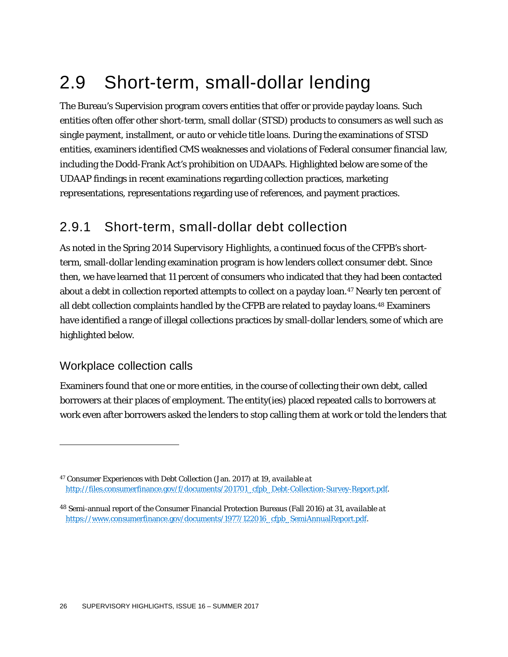# 2.9 Short-term, small-dollar lending

The Bureau's Supervision program covers entities that offer or provide payday loans. Such entities often offer other short-term, small dollar (STSD) products to consumers as well such as single payment, installment, or auto or vehicle title loans. During the examinations of STSD entities, examiners identified CMS weaknesses and violations of Federal consumer financial law, including the Dodd-Frank Act's prohibition on UDAAPs. Highlighted below are some of the UDAAP findings in recent examinations regarding collection practices, marketing representations, representations regarding use of references, and payment practices.

## 2.9.1 Short-term, small-dollar debt collection

As noted in the Spring 2014 *Supervisory Highlights*, a continued focus of the CFPB's shortterm, small-dollar lending examination program is how lenders collect consumer debt. Since then, we have learned that 11 percent of consumers who indicated that they had been contacted about a debt in collection reported attempts to collect on a payday loan.<sup>47</sup> Nearly ten percent of all debt collection complaints handled by the CFPB are related to payday loans.[48](#page-26-1) Examiners have identified a range of illegal collections practices by small-dollar lenders, some of which are highlighted below.

#### Workplace collection calls

1

Examiners found that one or more entities, in the course of collecting their own debt, called borrowers at their places of employment. The entity(ies) placed repeated calls to borrowers at work even after borrowers asked the lenders to stop calling them at work or told the lenders that

<span id="page-26-0"></span><sup>47</sup> Consumer Experiences with Debt Collection (Jan. 2017) at 19, *available at*  [http://files.consumerfinance.gov/f/documents/201701\\_cfpb\\_Debt-Collection-Survey-Report.pdf.](http://files.consumerfinance.gov/f/documents/201701_cfpb_Debt-Collection-Survey-Report.pdf)

<span id="page-26-1"></span><sup>48</sup> Semi-annual report of the Consumer Financial Protection Bureaus (Fall 2016) at 31, *available at* [https://www.consumerfinance.gov/documents/1977/122016\\_cfpb\\_SemiAnnualReport.pdf.](https://www.consumerfinance.gov/documents/1977/122016_cfpb_SemiAnnualReport.pdf)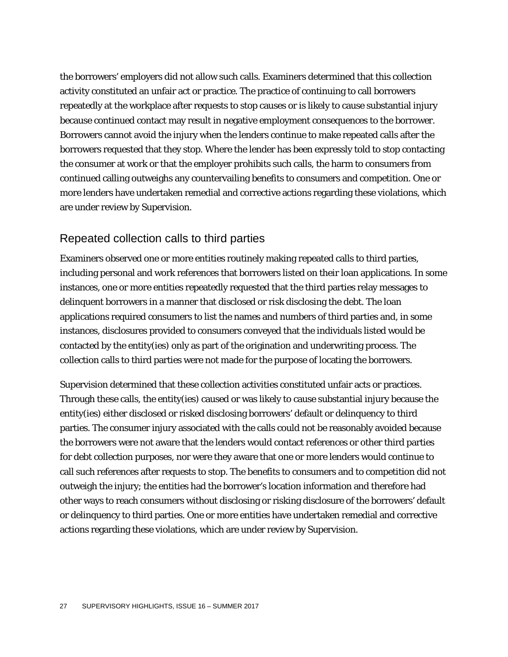the borrowers' employers did not allow such calls. Examiners determined that this collection activity constituted an unfair act or practice. The practice of continuing to call borrowers repeatedly at the workplace after requests to stop causes or is likely to cause substantial injury because continued contact may result in negative employment consequences to the borrower. Borrowers cannot avoid the injury when the lenders continue to make repeated calls after the borrowers requested that they stop. Where the lender has been expressly told to stop contacting the consumer at work or that the employer prohibits such calls, the harm to consumers from continued calling outweighs any countervailing benefits to consumers and competition. One or more lenders have undertaken remedial and corrective actions regarding these violations, which are under review by Supervision.

#### Repeated collection calls to third parties

Examiners observed one or more entities routinely making repeated calls to third parties, including personal and work references that borrowers listed on their loan applications. In some instances, one or more entities repeatedly requested that the third parties relay messages to delinquent borrowers in a manner that disclosed or risk disclosing the debt. The loan applications required consumers to list the names and numbers of third parties and, in some instances, disclosures provided to consumers conveyed that the individuals listed would be contacted by the entity(ies) only as part of the origination and underwriting process. The collection calls to third parties were not made for the purpose of locating the borrowers.

Supervision determined that these collection activities constituted unfair acts or practices. Through these calls, the entity(ies) caused or was likely to cause substantial injury because the entity(ies) either disclosed or risked disclosing borrowers' default or delinquency to third parties. The consumer injury associated with the calls could not be reasonably avoided because the borrowers were not aware that the lenders would contact references or other third parties for debt collection purposes, nor were they aware that one or more lenders would continue to call such references after requests to stop. The benefits to consumers and to competition did not outweigh the injury; the entities had the borrower's location information and therefore had other ways to reach consumers without disclosing or risking disclosure of the borrowers' default or delinquency to third parties. One or more entities have undertaken remedial and corrective actions regarding these violations, which are under review by Supervision.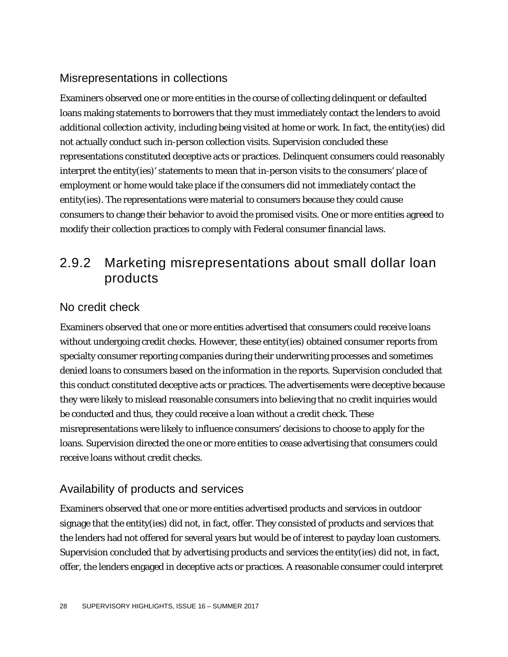#### Misrepresentations in collections

Examiners observed one or more entities in the course of collecting delinquent or defaulted loans making statements to borrowers that they must immediately contact the lenders to avoid additional collection activity, including being visited at home or work. In fact, the entity(ies) did not actually conduct such in-person collection visits. Supervision concluded these representations constituted deceptive acts or practices. Delinquent consumers could reasonably interpret the entity(ies)' statements to mean that in-person visits to the consumers' place of employment or home would take place if the consumers did not immediately contact the entity(ies). The representations were material to consumers because they could cause consumers to change their behavior to avoid the promised visits. One or more entities agreed to modify their collection practices to comply with Federal consumer financial laws.

## 2.9.2 Marketing misrepresentations about small dollar loan products

#### No credit check

Examiners observed that one or more entities advertised that consumers could receive loans without undergoing credit checks. However, these entity(ies) obtained consumer reports from specialty consumer reporting companies during their underwriting processes and sometimes denied loans to consumers based on the information in the reports. Supervision concluded that this conduct constituted deceptive acts or practices. The advertisements were deceptive because they were likely to mislead reasonable consumers into believing that no credit inquiries would be conducted and thus, they could receive a loan without a credit check. These misrepresentations were likely to influence consumers' decisions to choose to apply for the loans. Supervision directed the one or more entities to cease advertising that consumers could receive loans without credit checks.

#### Availability of products and services

Examiners observed that one or more entities advertised products and services in outdoor signage that the entity(ies) did not, in fact, offer. They consisted of products and services that the lenders had not offered for several years but would be of interest to payday loan customers. Supervision concluded that by advertising products and services the entity(ies) did not, in fact, offer, the lenders engaged in deceptive acts or practices. A reasonable consumer could interpret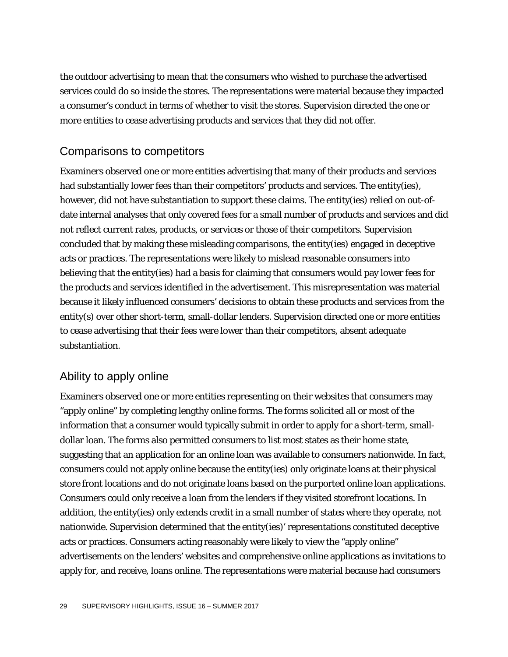the outdoor advertising to mean that the consumers who wished to purchase the advertised services could do so inside the stores. The representations were material because they impacted a consumer's conduct in terms of whether to visit the stores. Supervision directed the one or more entities to cease advertising products and services that they did not offer.

#### Comparisons to competitors

Examiners observed one or more entities advertising that many of their products and services had substantially lower fees than their competitors' products and services. The entity(ies), however, did not have substantiation to support these claims. The entity(ies) relied on out-ofdate internal analyses that only covered fees for a small number of products and services and did not reflect current rates, products, or services or those of their competitors. Supervision concluded that by making these misleading comparisons, the entity(ies) engaged in deceptive acts or practices. The representations were likely to mislead reasonable consumers into believing that the entity(ies) had a basis for claiming that consumers would pay lower fees for the products and services identified in the advertisement. This misrepresentation was material because it likely influenced consumers' decisions to obtain these products and services from the entity(s) over other short-term, small-dollar lenders. Supervision directed one or more entities to cease advertising that their fees were lower than their competitors, absent adequate substantiation.

#### Ability to apply online

Examiners observed one or more entities representing on their websites that consumers may "apply online" by completing lengthy online forms. The forms solicited all or most of the information that a consumer would typically submit in order to apply for a short-term, smalldollar loan. The forms also permitted consumers to list most states as their home state, suggesting that an application for an online loan was available to consumers nationwide. In fact, consumers could not apply online because the entity(ies) only originate loans at their physical store front locations and do not originate loans based on the purported online loan applications. Consumers could only receive a loan from the lenders if they visited storefront locations. In addition, the entity(ies) only extends credit in a small number of states where they operate, not nationwide. Supervision determined that the entity(ies)' representations constituted deceptive acts or practices. Consumers acting reasonably were likely to view the "apply online" advertisements on the lenders' websites and comprehensive online applications as invitations to apply for, and receive, loans online. The representations were material because had consumers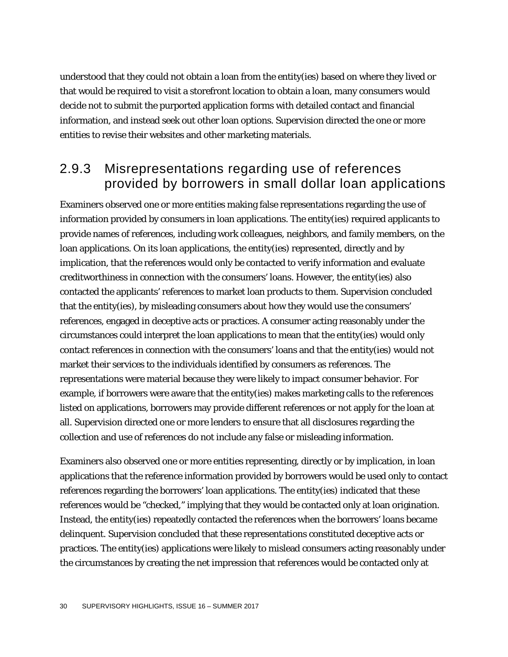understood that they could not obtain a loan from the entity(ies) based on where they lived or that would be required to visit a storefront location to obtain a loan, many consumers would decide not to submit the purported application forms with detailed contact and financial information, and instead seek out other loan options. Supervision directed the one or more entities to revise their websites and other marketing materials.

### 2.9.3 Misrepresentations regarding use of references provided by borrowers in small dollar loan applications

Examiners observed one or more entities making false representations regarding the use of information provided by consumers in loan applications. The entity(ies) required applicants to provide names of references, including work colleagues, neighbors, and family members, on the loan applications. On its loan applications, the entity(ies) represented, directly and by implication, that the references would only be contacted to verify information and evaluate creditworthiness in connection with the consumers' loans. However, the entity(ies) also contacted the applicants' references to market loan products to them. Supervision concluded that the entity(ies), by misleading consumers about how they would use the consumers' references, engaged in deceptive acts or practices. A consumer acting reasonably under the circumstances could interpret the loan applications to mean that the entity(ies) would only contact references in connection with the consumers' loans and that the entity(ies) would not market their services to the individuals identified by consumers as references. The representations were material because they were likely to impact consumer behavior. For example, if borrowers were aware that the entity(ies) makes marketing calls to the references listed on applications, borrowers may provide different references or not apply for the loan at all. Supervision directed one or more lenders to ensure that all disclosures regarding the collection and use of references do not include any false or misleading information.

Examiners also observed one or more entities representing, directly or by implication, in loan applications that the reference information provided by borrowers would be used only to contact references regarding the borrowers' loan applications. The entity(ies) indicated that these references would be "checked," implying that they would be contacted only at loan origination. Instead, the entity(ies) repeatedly contacted the references when the borrowers' loans became delinquent. Supervision concluded that these representations constituted deceptive acts or practices. The entity(ies) applications were likely to mislead consumers acting reasonably under the circumstances by creating the net impression that references would be contacted only at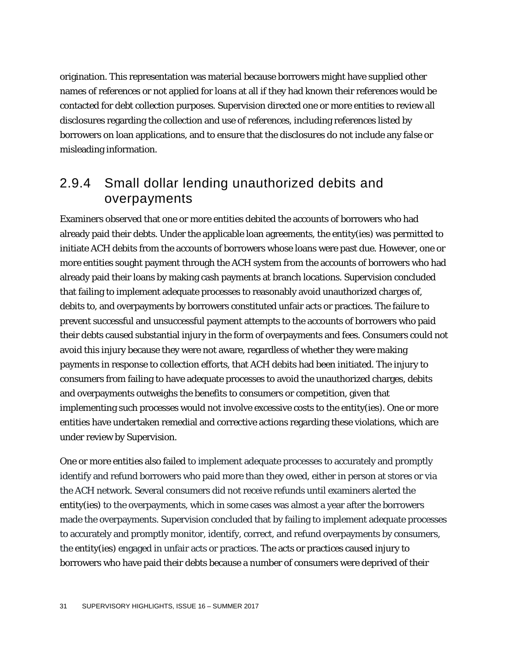origination. This representation was material because borrowers might have supplied other names of references or not applied for loans at all if they had known their references would be contacted for debt collection purposes. Supervision directed one or more entities to review all disclosures regarding the collection and use of references, including references listed by borrowers on loan applications, and to ensure that the disclosures do not include any false or misleading information.

### 2.9.4 Small dollar lending unauthorized debits and overpayments

Examiners observed that one or more entities debited the accounts of borrowers who had already paid their debts. Under the applicable loan agreements, the entity(ies) was permitted to initiate ACH debits from the accounts of borrowers whose loans were past due. However, one or more entities sought payment through the ACH system from the accounts of borrowers who had already paid their loans by making cash payments at branch locations. Supervision concluded that failing to implement adequate processes to reasonably avoid unauthorized charges of, debits to, and overpayments by borrowers constituted unfair acts or practices. The failure to prevent successful and unsuccessful payment attempts to the accounts of borrowers who paid their debts caused substantial injury in the form of overpayments and fees. Consumers could not avoid this injury because they were not aware, regardless of whether they were making payments in response to collection efforts, that ACH debits had been initiated. The injury to consumers from failing to have adequate processes to avoid the unauthorized charges, debits and overpayments outweighs the benefits to consumers or competition, given that implementing such processes would not involve excessive costs to the entity(ies). One or more entities have undertaken remedial and corrective actions regarding these violations, which are under review by Supervision.

One or more entities also failed to implement adequate processes to accurately and promptly identify and refund borrowers who paid more than they owed, either in person at stores or via the ACH network. Several consumers did not receive refunds until examiners alerted the entity(ies) to the overpayments, which in some cases was almost a year after the borrowers made the overpayments. Supervision concluded that by failing to implement adequate processes to accurately and promptly monitor, identify, correct, and refund overpayments by consumers, the entity(ies) engaged in unfair acts or practices. The acts or practices caused injury to borrowers who have paid their debts because a number of consumers were deprived of their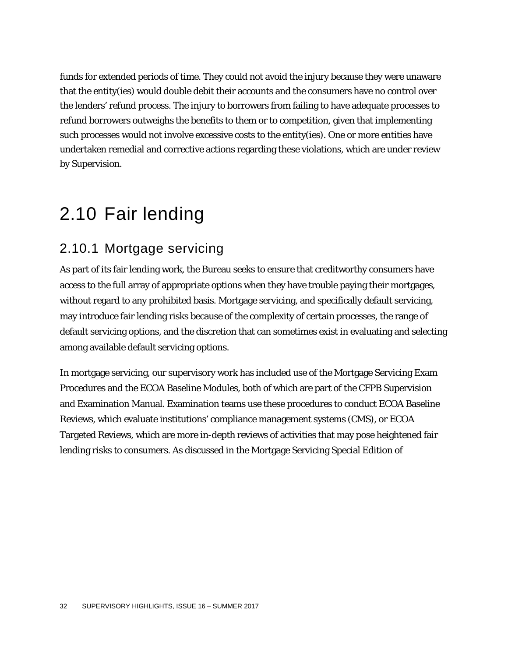funds for extended periods of time. They could not avoid the injury because they were unaware that the entity(ies) would double debit their accounts and the consumers have no control over the lenders' refund process. The injury to borrowers from failing to have adequate processes to refund borrowers outweighs the benefits to them or to competition, given that implementing such processes would not involve excessive costs to the entity(ies). One or more entities have undertaken remedial and corrective actions regarding these violations, which are under review by Supervision.

# 2.10 Fair lending

# 2.10.1 Mortgage servicing

As part of its fair lending work, the Bureau seeks to ensure that creditworthy consumers have access to the full array of appropriate options when they have trouble paying their mortgages, without regard to any prohibited basis. Mortgage servicing, and specifically default servicing, may introduce fair lending risks because of the complexity of certain processes, the range of default servicing options, and the discretion that can sometimes exist in evaluating and selecting among available default servicing options.

In mortgage servicing, our supervisory work has included use of the Mortgage Servicing Exam Procedures and the ECOA Baseline Modules, both of which are part of the CFPB Supervision and Examination Manual. Examination teams use these procedures to conduct ECOA Baseline Reviews, which evaluate institutions' compliance management systems (CMS), or ECOA Targeted Reviews, which are more in-depth reviews of activities that may pose heightened fair lending risks to consumers. As discussed in the Mortgage Servicing Special Edition of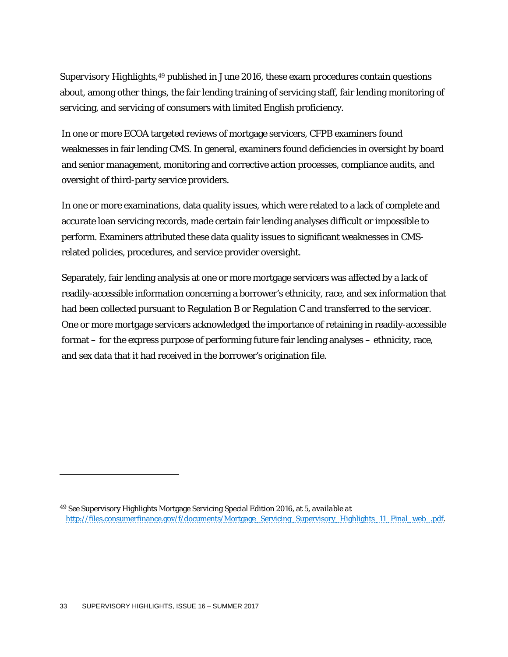*Supervisory Highlights*,[49](#page-33-0) published in June 2016, these exam procedures contain questions about, among other things, the fair lending training of servicing staff, fair lending monitoring of servicing, and servicing of consumers with limited English proficiency.

In one or more ECOA targeted reviews of mortgage servicers, CFPB examiners found weaknesses in fair lending CMS. In general, examiners found deficiencies in oversight by board and senior management, monitoring and corrective action processes, compliance audits, and oversight of third-party service providers.

In one or more examinations, data quality issues, which were related to a lack of complete and accurate loan servicing records, made certain fair lending analyses difficult or impossible to perform. Examiners attributed these data quality issues to significant weaknesses in CMSrelated policies, procedures, and service provider oversight.

Separately, fair lending analysis at one or more mortgage servicers was affected by a lack of readily-accessible information concerning a borrower's ethnicity, race, and sex information that had been collected pursuant to Regulation B or Regulation C and transferred to the servicer. One or more mortgage servicers acknowledged the importance of retaining in readily-accessible format – for the express purpose of performing future fair lending analyses – ethnicity, race, and sex data that it had received in the borrower's origination file.

<span id="page-33-0"></span><sup>49</sup> *See* Supervisory Highlights Mortgage Servicing Special Edition 2016, at 5, *available at* [http://files.consumerfinance.gov/f/documents/Mortgage\\_Servicing\\_Supervisory\\_Highlights\\_11\\_Final\\_web\\_.pdf.](http://files.consumerfinance.gov/f/documents/Mortgage_Servicing_Supervisory_Highlights_11_Final_web_.pdf)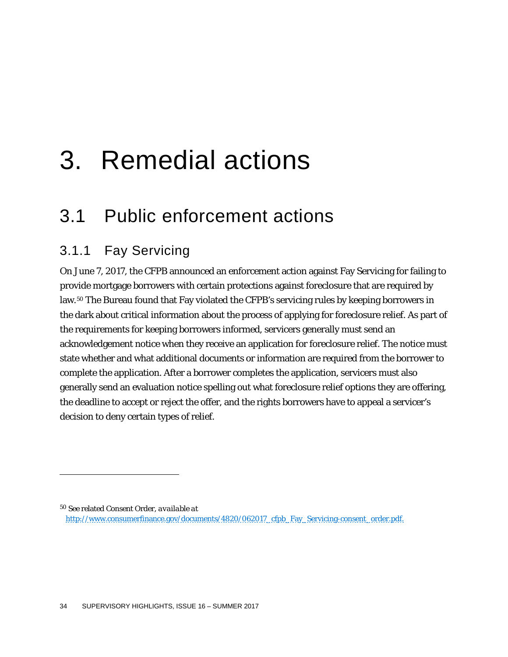# 3. Remedial actions

# 3.1 Public enforcement actions

# 3.1.1 Fay Servicing

1

On June 7, 2017, the CFPB announced an enforcement action against Fay Servicing for failing to provide mortgage borrowers with certain protections against foreclosure that are required by law.<sup>[50](#page-34-0)</sup> The Bureau found that Fay violated the CFPB's servicing rules by keeping borrowers in the dark about critical information about the process of applying for foreclosure relief. As part of the requirements for keeping borrowers informed, servicers generally must send an acknowledgement notice when they receive an application for foreclosure relief. The notice must state whether and what additional documents or information are required from the borrower to complete the application. After a borrower completes the application, servicers must also generally send an evaluation notice spelling out what foreclosure relief options they are offering, the deadline to accept or reject the offer, and the rights borrowers have to appeal a servicer's decision to deny certain types of relief.

<span id="page-34-0"></span><sup>50</sup> *See* related Consent Order, *available at* [http://www.consumerfinance.gov/documents/4820/062017\\_cfpb\\_Fay\\_Servicing-consent\\_order.pdf.](http://www.consumerfinance.gov/documents/4820/062017_cfpb_Fay_Servicing-consent_order.pdf.)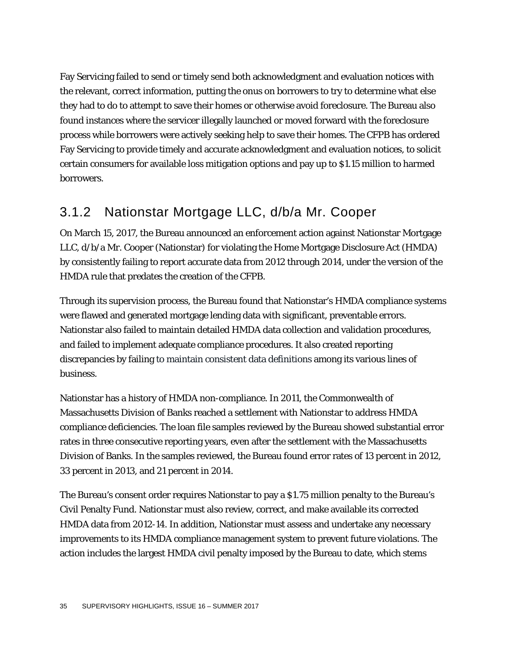Fay Servicing failed to send or timely send both acknowledgment and evaluation notices with the relevant, correct information, putting the onus on borrowers to try to determine what else they had to do to attempt to save their homes or otherwise avoid foreclosure. The Bureau also found instances where the servicer illegally launched or moved forward with the foreclosure process while borrowers were actively seeking help to save their homes. The CFPB has ordered Fay Servicing to provide timely and accurate acknowledgment and evaluation notices, to solicit certain consumers for available loss mitigation options and pay up to \$1.15 million to harmed borrowers.

# 3.1.2 Nationstar Mortgage LLC, d/b/a Mr. Cooper

On March 15, 2017, the Bureau announced an enforcement action against Nationstar Mortgage LLC, d/b/a Mr. Cooper (Nationstar) for violating the Home Mortgage Disclosure Act (HMDA) by consistently failing to report accurate data from 2012 through 2014, under the version of the HMDA rule that predates the creation of the CFPB.

Through its supervision process, the Bureau found that Nationstar's HMDA compliance systems were flawed and generated mortgage lending data with significant, preventable errors. Nationstar also failed to maintain detailed HMDA data collection and validation procedures, and failed to implement adequate compliance procedures. It also created reporting discrepancies by failing to maintain consistent data definitions among its various lines of business.

Nationstar has a history of HMDA non-compliance. In 2011, the Commonwealth of Massachusetts Division of Banks reached a settlement with Nationstar to address HMDA compliance deficiencies. The loan file samples reviewed by the Bureau showed substantial error rates in three consecutive reporting years, even after the settlement with the Massachusetts Division of Banks. In the samples reviewed, the Bureau found error rates of 13 percent in 2012, 33 percent in 2013, and 21 percent in 2014.

The Bureau's consent order requires Nationstar to pay a \$1.75 million penalty to the Bureau's Civil Penalty Fund. Nationstar must also review, correct, and make available its corrected HMDA data from 2012-14. In addition, Nationstar must assess and undertake any necessary improvements to its HMDA compliance management system to prevent future violations. The action includes the largest HMDA civil penalty imposed by the Bureau to date, which stems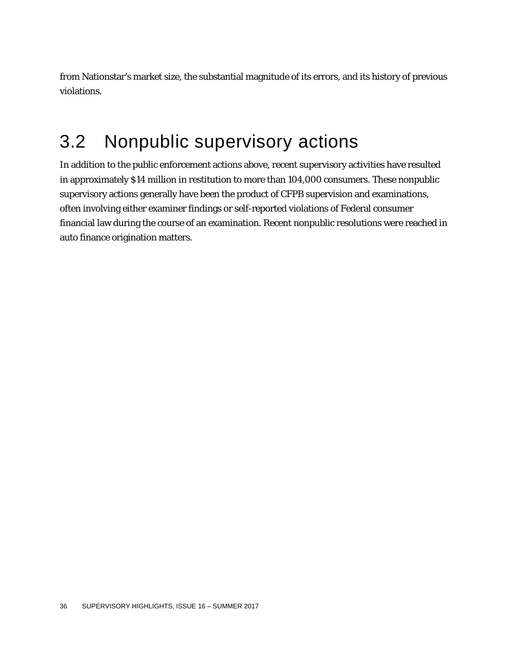from Nationstar's market size, the substantial magnitude of its errors, and its history of previous violations.

# 3.2 Nonpublic supervisory actions

In addition to the public enforcement actions above, recent supervisory activities have resulted in approximately \$14 million in restitution to more than 104,000 consumers. These nonpublic supervisory actions generally have been the product of CFPB supervision and examinations, often involving either examiner findings or self-reported violations of Federal consumer financial law during the course of an examination. Recent nonpublic resolutions were reached in auto finance origination matters.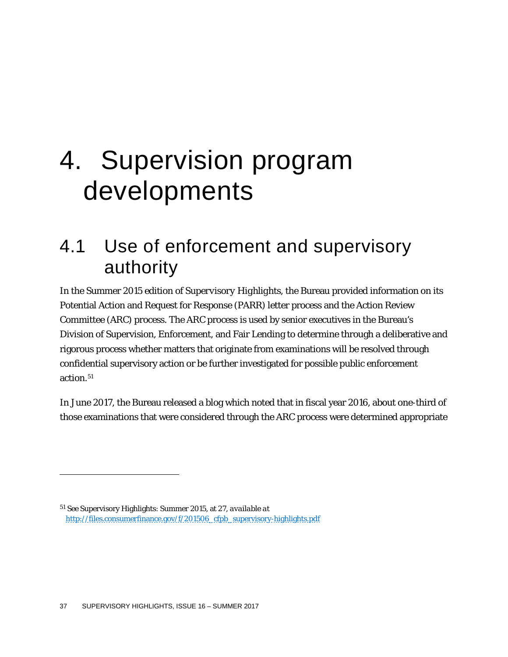# 4. Supervision program developments

# 4.1 Use of enforcement and supervisory authority

In the Summer 2015 edition of *Supervisory Highlights*, the Bureau provided information on its Potential Action and Request for Response (PARR) letter process and the Action Review Committee (ARC) process. The ARC process is used by senior executives in the Bureau's Division of Supervision, Enforcement, and Fair Lending to determine through a deliberative and rigorous process whether matters that originate from examinations will be resolved through confidential supervisory action or be further investigated for possible public enforcement action.<sup>51</sup>

In June 2017, the Bureau released a blog which noted that in fiscal year 2016, about one-third of those examinations that were considered through the ARC process were determined appropriate

<span id="page-37-0"></span><sup>51</sup> *See* Supervisory Highlights: Summer 2015, at 27, *available at* [http://files.consumerfinance.gov/f/201506\\_cfpb\\_supervisory-highlights.pdf](http://files.consumerfinance.gov/f/201506_cfpb_supervisory-highlights.pdf)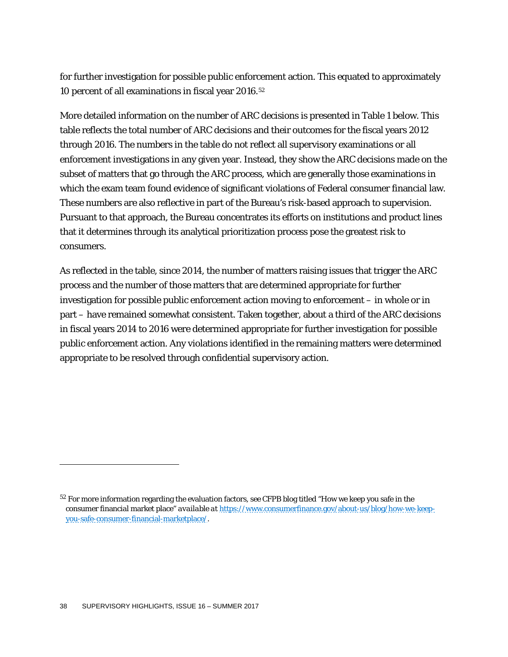for further investigation for possible public enforcement action. This equated to approximately 10 percent of all examinations in fiscal year 2016[.52](#page-38-0)

More detailed information on the number of ARC decisions is presented in Table 1 below. This table reflects the total number of ARC decisions and their outcomes for the fiscal years 2012 through 2016. The numbers in the table do not reflect all supervisory examinations or all enforcement investigations in any given year. Instead, they show the ARC decisions made on the subset of matters that go through the ARC process, which are generally those examinations in which the exam team found evidence of significant violations of Federal consumer financial law. These numbers are also reflective in part of the Bureau's risk-based approach to supervision. Pursuant to that approach, the Bureau concentrates its efforts on institutions and product lines that it determines through its analytical prioritization process pose the greatest risk to consumers.

As reflected in the table, since 2014, the number of matters raising issues that trigger the ARC process and the number of those matters that are determined appropriate for further investigation for possible public enforcement action moving to enforcement – in whole or in part – have remained somewhat consistent. Taken together, about a third of the ARC decisions in fiscal years 2014 to 2016 were determined appropriate for further investigation for possible public enforcement action. Any violations identified in the remaining matters were determined appropriate to be resolved through confidential supervisory action.

<span id="page-38-0"></span><sup>52</sup> For more information regarding the evaluation factors, *see* CFPB blog titled "How we keep you safe in the consumer financial market place" *available at* [https://www.consumerfinance.gov/about-us/blog/how-we-keep](https://www.consumerfinance.gov/about-us/blog/how-we-keep-you-safe-consumer-financial-marketplace/)[you-safe-consumer-financial-marketplace/.](https://www.consumerfinance.gov/about-us/blog/how-we-keep-you-safe-consumer-financial-marketplace/)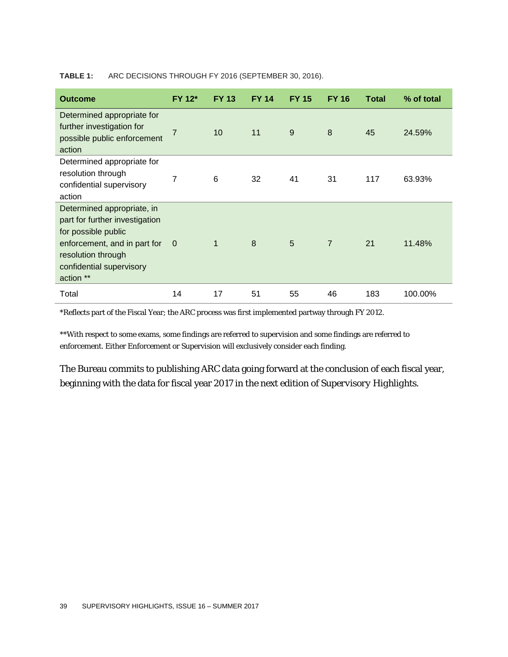#### **TABLE 1:** ARC DECISIONS THROUGH FY 2016 (SEPTEMBER 30, 2016).

| <b>Outcome</b>                                                                                                                                                                     | <b>FY 12*</b>  | <b>FY 13</b>    | <b>FY 14</b> | <b>FY 15</b> | <b>FY 16</b>   | <b>Total</b> | % of total |
|------------------------------------------------------------------------------------------------------------------------------------------------------------------------------------|----------------|-----------------|--------------|--------------|----------------|--------------|------------|
| Determined appropriate for<br>further investigation for<br>possible public enforcement<br>action                                                                                   | 7              | 10 <sup>1</sup> | 11           | 9            | 8              | 45           | 24.59%     |
| Determined appropriate for<br>resolution through<br>confidential supervisory<br>action                                                                                             | 7              | 6               | 32           | 41           | 31             | 117          | 63.93%     |
| Determined appropriate, in<br>part for further investigation<br>for possible public<br>enforcement, and in part for<br>resolution through<br>confidential supervisory<br>action ** | $\overline{0}$ | 1               | 8            | 5            | $\overline{7}$ | 21           | 11.48%     |
| Total                                                                                                                                                                              | 14             | 17              | 51           | 55           | 46             | 183          | 100.00%    |

\*Reflects part of the Fiscal Year; the ARC process was first implemented partway through FY 2012.

\*\*With respect to some exams, some findings are referred to supervision and some findings are referred to enforcement. Either Enforcement or Supervision will exclusively consider each finding.

The Bureau commits to publishing ARC data going forward at the conclusion of each fiscal year, beginning with the data for fiscal year 2017 in the next edition of *Supervisory Highlights*.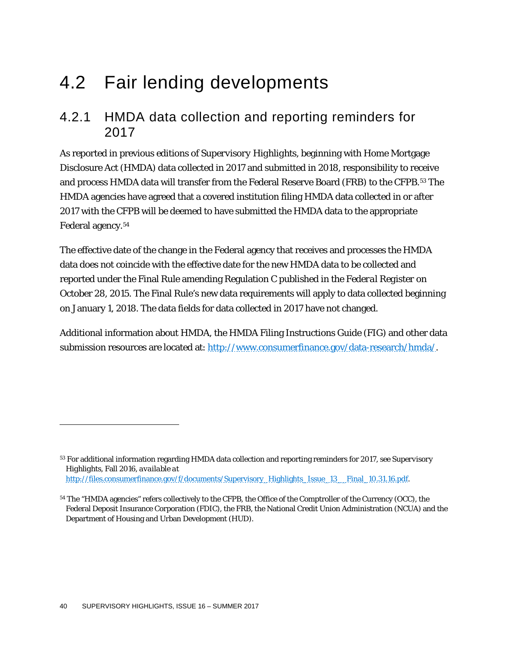# 4.2 Fair lending developments

### 4.2.1 HMDA data collection and reporting reminders for 2017

As reported in previous editions of *Supervisory Highlights*, beginning with Home Mortgage Disclosure Act (HMDA) data collected in 2017 and submitted in 2018, responsibility to receive and process HMDA data will transfer from the Federal Reserve Board (FRB) to the CFPB.[53](#page-40-0) The HMDA agencies have agreed that a covered institution filing HMDA data collected in or after 2017 with the CFPB will be deemed to have submitted the HMDA data to the appropriate Federal agency.[54](#page-40-1)

The effective date of the change in the Federal agency that receives and processes the HMDA data does not coincide with the effective date for the new HMDA data to be collected and reported under the Final Rule amending Regulation C published in the *Federal Register* on October 28, 2015. The Final Rule's new data requirements will apply to data collected beginning on January 1, 2018. The data fields for data collected in 2017 have not changed.

Additional information about HMDA, the HMDA Filing Instructions Guide (FIG) and other data submission resources are located at: [http://www.consumerfinance.gov/data-research/hmda/.](http://www.consumerfinance.gov/data-research/hmda/)

<span id="page-40-0"></span><sup>53</sup> For additional information regarding HMDA data collection and reporting reminders for 2017, see *Supervisory Highlights*, Fall 2016, *available at* [http://files.consumerfinance.gov/f/documents/Supervisory\\_Highlights\\_Issue\\_13\\_\\_Final\\_10.31.16.pdf.](http://files.consumerfinance.gov/f/documents/Supervisory_Highlights_Issue_13__Final_10.31.16.pdf)

<span id="page-40-1"></span><sup>&</sup>lt;sup>54</sup> The "HMDA agencies" refers collectively to the CFPB, the Office of the Comptroller of the Currency (OCC), the Federal Deposit Insurance Corporation (FDIC), the FRB, the National Credit Union Administration (NCUA) and the Department of Housing and Urban Development (HUD).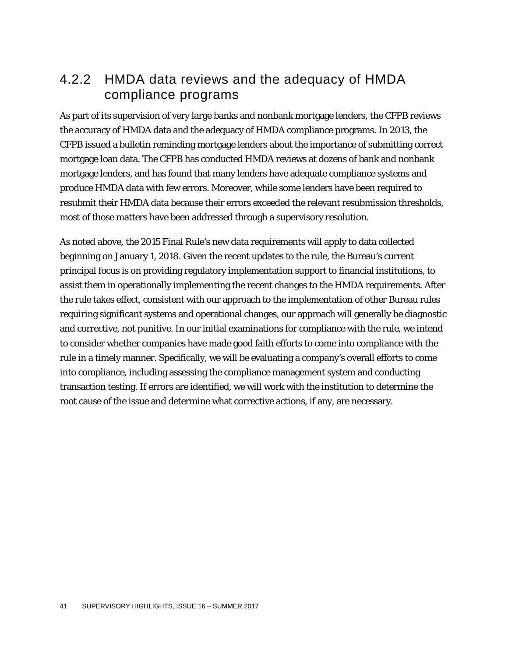## 4.2.2 HMDA data reviews and the adequacy of HMDA compliance programs

As part of its supervision of very large banks and nonbank mortgage lenders, the CFPB reviews the accuracy of HMDA data and the adequacy of HMDA compliance programs. In 2013, the CFPB issued a bulletin reminding mortgage lenders about the importance of submitting correct mortgage loan data. The CFPB has conducted HMDA reviews at dozens of bank and nonbank mortgage lenders, and has found that many lenders have adequate compliance systems and produce HMDA data with few errors. Moreover, while some lenders have been required to resubmit their HMDA data because their errors exceeded the relevant resubmission thresholds, most of those matters have been addressed through a supervisory resolution.

As noted above, the 2015 Final Rule's new data requirements will apply to data collected beginning on January 1, 2018. Given the recent updates to the rule, the Bureau's current principal focus is on providing regulatory implementation support to financial institutions, to assist them in operationally implementing the recent changes to the HMDA requirements. After the rule takes effect, consistent with our approach to the implementation of other Bureau rules requiring significant systems and operational changes, our approach will generally be diagnostic and corrective, not punitive. In our initial examinations for compliance with the rule, we intend to consider whether companies have made good faith efforts to come into compliance with the rule in a timely manner. Specifically, we will be evaluating a company's overall efforts to come into compliance, including assessing the compliance management system and conducting transaction testing. If errors are identified, we will work with the institution to determine the root cause of the issue and determine what corrective actions, if any, are necessary.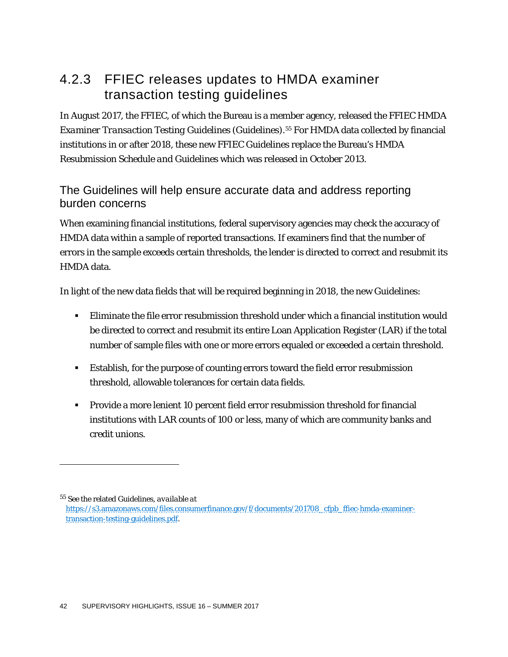# 4.2.3 FFIEC releases updates to HMDA examiner transaction testing guidelines

In August 2017, the FFIEC, of which the Bureau is a member agency, released the *FFIEC HMDA Examiner Transaction Testing Guidelines* (Guidelines).[55](#page-42-0) For HMDA data collected by financial institutions in or after 2018, these new FFIEC Guidelines replace the Bureau's *HMDA Resubmission Schedule and Guidelines* which was released in October 2013.

#### The Guidelines will help ensure accurate data and address reporting burden concerns

When examining financial institutions, federal supervisory agencies may check the accuracy of HMDA data within a sample of reported transactions. If examiners find that the number of errors in the sample exceeds certain thresholds, the lender is directed to correct and resubmit its HMDA data.

In light of the new data fields that will be required beginning in 2018, the new Guidelines:

- Eliminate the file error resubmission threshold under which a financial institution would be directed to correct and resubmit its entire Loan Application Register (LAR) if the total number of sample files with one or more errors equaled or exceeded a certain threshold.
- Establish, for the purpose of counting errors toward the field error resubmission threshold, allowable tolerances for certain data fields.
- Provide a more lenient 10 percent field error resubmission threshold for financial institutions with LAR counts of 100 or less, many of which are community banks and credit unions.

<span id="page-42-0"></span><sup>55</sup> *See* the related Guidelines, *available at*

[https://s3.amazonaws.com/files.consumerfinance.gov/f/documents/201708\\_cfpb\\_ffiec-hmda-examiner](https://s3.amazonaws.com/files.consumerfinance.gov/f/documents/201708_cfpb_ffiec-hmda-examiner-transaction-testing-guidelines.pdf)[transaction-testing-guidelines.pdf.](https://s3.amazonaws.com/files.consumerfinance.gov/f/documents/201708_cfpb_ffiec-hmda-examiner-transaction-testing-guidelines.pdf)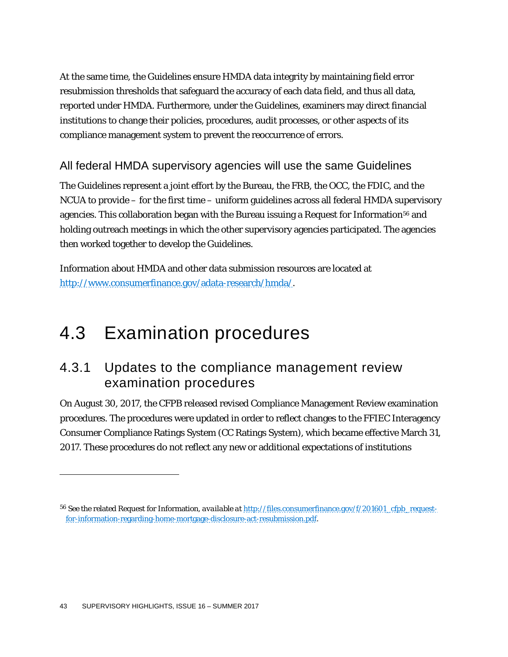At the same time, the Guidelines ensure HMDA data integrity by maintaining field error resubmission thresholds that safeguard the accuracy of each data field, and thus all data, reported under HMDA. Furthermore, under the Guidelines, examiners may direct financial institutions to change their policies, procedures, audit processes, or other aspects of its compliance management system to prevent the reoccurrence of errors.

#### All federal HMDA supervisory agencies will use the same Guidelines

The Guidelines represent a joint effort by the Bureau, the FRB, the OCC, the FDIC, and the NCUA to provide – for the first time – uniform guidelines across all federal HMDA supervisory agencies. This collaboration began with the Bureau issuing a Request for Information<sup>[56](#page-43-0)</sup> and holding outreach meetings in which the other supervisory agencies participated. The agencies then worked together to develop the Guidelines.

Information about HMDA and other data submission resources are located at [http://www.consumerfinance.gov/adata-research/hmda/.](http://www.consumerfinance.gov/adata-research/hmda/)

# 4.3 Examination procedures

## 4.3.1 Updates to the compliance management review examination procedures

On August 30, 2017, the CFPB released revised Compliance Management Review examination procedures. The procedures were updated in order to reflect changes to the FFIEC Interagency Consumer Compliance Ratings System (CC Ratings System), which became effective March 31, 2017. These procedures do not reflect any new or additional expectations of institutions

<span id="page-43-0"></span><sup>56</sup> *See* the related Request for Information, *available at* [http://files.consumerfinance.gov/f/201601\\_cfpb\\_request](http://files.consumerfinance.gov/f/201601_cfpb_request-for-information-regarding-home-mortgage-disclosure-act-resubmission.pdf)[for-information-regarding-home-mortgage-disclosure-act-resubmission.pdf.](http://files.consumerfinance.gov/f/201601_cfpb_request-for-information-regarding-home-mortgage-disclosure-act-resubmission.pdf)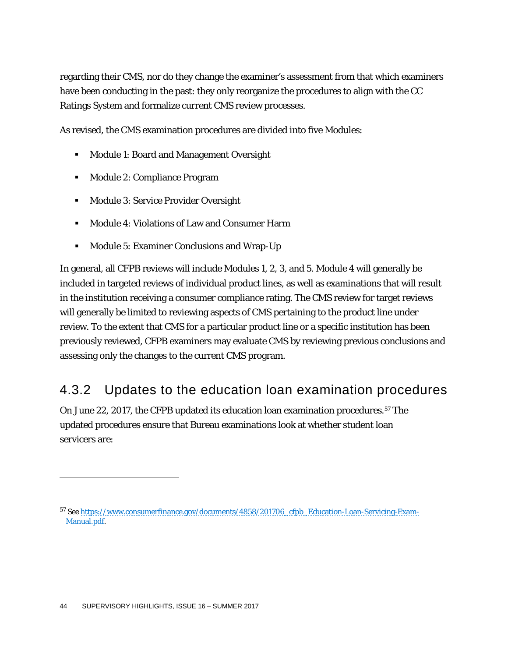regarding their CMS, nor do they change the examiner's assessment from that which examiners have been conducting in the past: they only reorganize the procedures to align with the CC Ratings System and formalize current CMS review processes.

As revised, the CMS examination procedures are divided into five Modules:

- **Module 1: Board and Management Oversight**
- Module 2: Compliance Program
- **Module 3: Service Provider Oversight**
- Module 4: Violations of Law and Consumer Harm
- **Module 5: Examiner Conclusions and Wrap-Up**

In general, all CFPB reviews will include Modules 1, 2, 3, and 5. Module 4 will generally be included in targeted reviews of individual product lines, as well as examinations that will result in the institution receiving a consumer compliance rating. The CMS review for target reviews will generally be limited to reviewing aspects of CMS pertaining to the product line under review. To the extent that CMS for a particular product line or a specific institution has been previously reviewed, CFPB examiners may evaluate CMS by reviewing previous conclusions and assessing only the changes to the current CMS program.

## 4.3.2 Updates to the education loan examination procedures

On June 22, 2017, the CFPB updated its education loan examination procedures.[57](#page-44-0) The updated procedures ensure that Bureau examinations look at whether student loan servicers are:

<span id="page-44-0"></span><sup>57</sup> *See* [https://www.consumerfinance.gov/documents/4858/201706\\_cfpb\\_Education-Loan-Servicing-Exam-](https://www.consumerfinance.gov/documents/4858/201706_cfpb_Education-Loan-Servicing-Exam-Manual.pdf)[Manual.pdf.](https://www.consumerfinance.gov/documents/4858/201706_cfpb_Education-Loan-Servicing-Exam-Manual.pdf)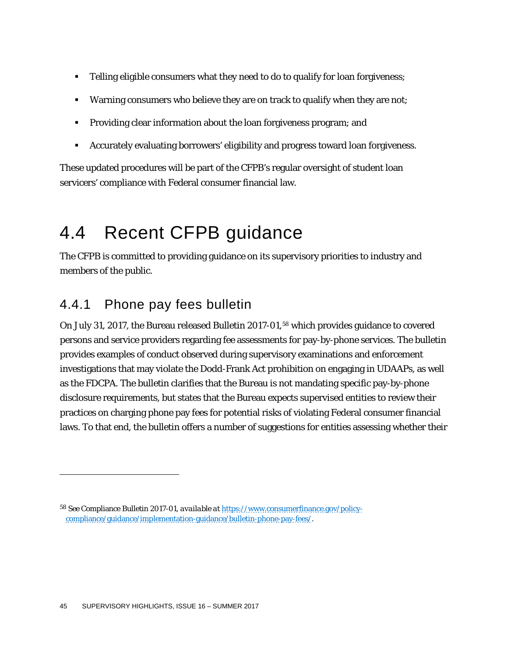- **Telling eligible consumers what they need to do to qualify for loan forgiveness;**
- Warning consumers who believe they are on track to qualify when they are not;
- Providing clear information about the loan forgiveness program; and
- Accurately evaluating borrowers' eligibility and progress toward loan forgiveness.

These updated procedures will be part of the CFPB's regular oversight of student loan servicers' compliance with Federal consumer financial law.

# 4.4 Recent CFPB guidance

The CFPB is committed to providing guidance on its supervisory priorities to industry and members of the public.

# 4.4.1 Phone pay fees bulletin

On July 31, 2017, the Bureau released Bulletin 2017-01,<sup>[58](#page-45-0)</sup> which provides guidance to covered persons and service providers regarding fee assessments for pay-by-phone services. The bulletin provides examples of conduct observed during supervisory examinations and enforcement investigations that may violate the Dodd-Frank Act prohibition on engaging in UDAAPs, as well as the FDCPA. The bulletin clarifies that the Bureau is not mandating specific pay-by-phone disclosure requirements, but states that the Bureau expects supervised entities to review their practices on charging phone pay fees for potential risks of violating Federal consumer financial laws. To that end, the bulletin offers a number of suggestions for entities assessing whether their

<span id="page-45-0"></span><sup>58</sup> *See* Compliance Bulletin 2017-01, *available at* [https://www.consumerfinance.gov/policy](https://www.consumerfinance.gov/policy-compliance/guidance/implementation-guidance/bulletin-phone-pay-fees/)[compliance/guidance/implementation-guidance/bulletin-phone-pay-fees/.](https://www.consumerfinance.gov/policy-compliance/guidance/implementation-guidance/bulletin-phone-pay-fees/)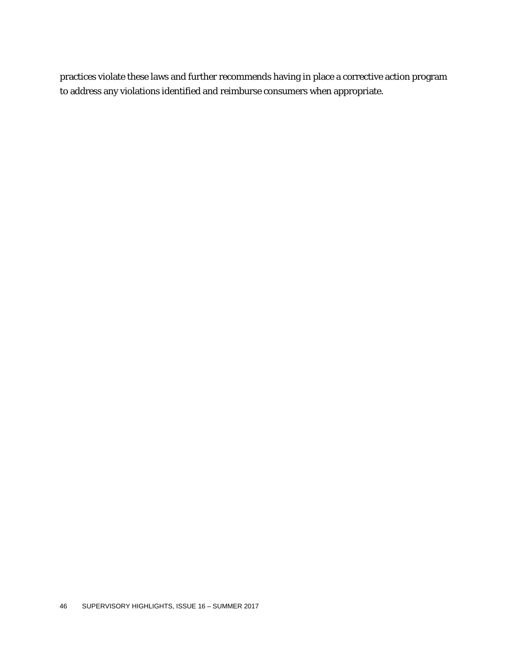practices violate these laws and further recommends having in place a corrective action program to address any violations identified and reimburse consumers when appropriate.